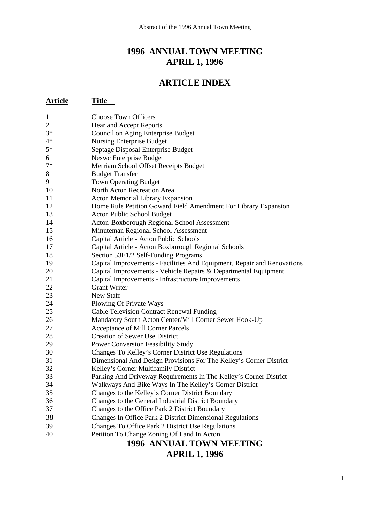# **1996 ANNUAL TOWN MEETING APRIL 1, 1996**

# **ARTICLE INDEX**

| <b>Article</b> | Title                                                                                                          |
|----------------|----------------------------------------------------------------------------------------------------------------|
| $\mathbf{1}$   | <b>Choose Town Officers</b>                                                                                    |
| $\overline{2}$ | Hear and Accept Reports                                                                                        |
| $3*$           | Council on Aging Enterprise Budget                                                                             |
| $4*$           | <b>Nursing Enterprise Budget</b>                                                                               |
| $5*$           | Septage Disposal Enterprise Budget                                                                             |
| 6              | Neswc Enterprise Budget                                                                                        |
| $7*$           | Merriam School Offset Receipts Budget                                                                          |
| 8              | <b>Budget Transfer</b>                                                                                         |
| 9              | <b>Town Operating Budget</b>                                                                                   |
| 10             | North Acton Recreation Area                                                                                    |
| 11             | <b>Acton Memorial Library Expansion</b>                                                                        |
| 12             | Home Rule Petition Goward Field Amendment For Library Expansion                                                |
| 13             | Acton Public School Budget                                                                                     |
| 14             | Acton-Boxborough Regional School Assessment                                                                    |
| 15             | Minuteman Regional School Assessment                                                                           |
| 16             | Capital Article - Acton Public Schools                                                                         |
| 17             | Capital Article - Acton Boxborough Regional Schools                                                            |
| 18             | Section 53E1/2 Self-Funding Programs                                                                           |
| 19             | Capital Improvements - Facilities And Equipment, Repair and Renovations                                        |
| 20             | Capital Improvements - Vehicle Repairs & Departmental Equipment                                                |
| 21             | Capital Improvements - Infrastructure Improvements                                                             |
| 22             | <b>Grant Writer</b>                                                                                            |
| 23             | <b>New Staff</b>                                                                                               |
| 24             | Plowing Of Private Ways                                                                                        |
| 25             | <b>Cable Television Contract Renewal Funding</b>                                                               |
| 26             | Mandatory South Acton Center/Mill Corner Sewer Hook-Up                                                         |
| 27             | Acceptance of Mill Corner Parcels                                                                              |
| 28             | <b>Creation of Sewer Use District</b>                                                                          |
| 29             | <b>Power Conversion Feasibility Study</b>                                                                      |
| 30             | Changes To Kelley's Corner District Use Regulations                                                            |
| 31<br>32       | Dimensional And Design Provisions For The Kelley's Corner District                                             |
| 33             | Kelley's Corner Multifamily District<br>Parking And Driveway Requirements In The Kelley's Corner District      |
| 34             | Walkways And Bike Ways In The Kelley's Corner District                                                         |
| 35             | Changes to the Kelley's Corner District Boundary                                                               |
| 36             | Changes to the General Industrial District Boundary                                                            |
| 37             |                                                                                                                |
| 38             | Changes to the Office Park 2 District Boundary                                                                 |
| 39             | Changes In Office Park 2 District Dimensional Regulations<br>Changes To Office Park 2 District Use Regulations |
| 40             | Petition To Change Zoning Of Land In Acton                                                                     |
|                |                                                                                                                |
|                | <b>1996 ANNUAL TOWN MEETING</b>                                                                                |

# **APRIL 1, 1996**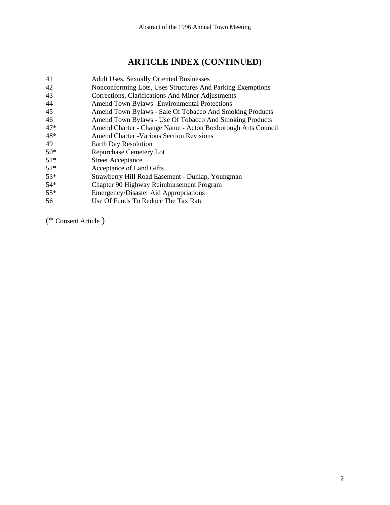# **ARTICLE INDEX (CONTINUED)**

- 41 Adult Uses, Sexually Oriented Businesses
- 42 Nonconforming Lots, Uses Structures And Parking Exemptions
- 43 Corrections, Clarifications And Minor Adjustments
- 44 Amend Town Bylaws -Environmental Protections
- 45 Amend Town Bylaws Sale Of Tobacco And Smoking Products
- 46 Amend Town Bylaws Use Of Tobacco And Smoking Products
- 47\* Amend Charter Change Name Acton Boxborough Arts Council
- 48\* Amend Charter -Various Section Revisions
- 49 Earth Day Resolution
- 50\* Repurchase Cemetery Lot
- 51\* Street Acceptance
- 52\* Acceptance of Land Gifts
- 53\* Strawberry Hill Road Easement Dunlap, Youngman
- 54\* Chapter 90 Highway Reimbursement Program
- 55\* Emergency/Disaster Aid Appropriations
- 56 Use Of Funds To Reduce The Tax Rate

(\* Consent Article )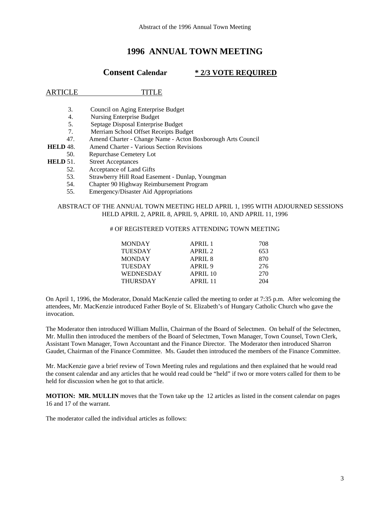# **1996 ANNUAL TOWN MEETING**

# **Consent Calendar \* 2/3 VOTE REQUIRED**

### ARTICLE TITLE

- 3. Council on Aging Enterprise Budget
- 4. Nursing Enterprise Budget<br>5. Septage Disposal Enterprise
- 5. Septage Disposal Enterprise Budget
- 7. Merriam School Offset Receipts Budget
- 47. Amend Charter Change Name Acton Boxborough Arts Council
- **HELD** 48. Amend Charter Various Section Revisions
- 50. Repurchase Cemetery Lot
- **HELD** 51. Street Acceptances
	- 52. Acceptance of Land Gifts
	- 53. Strawberry Hill Road Easement Dunlap, Youngman
	- 54. Chapter 90 Highway Reimbursement Program
	- 55. Emergency/Disaster Aid Appropriations

#### ABSTRACT OF THE ANNUAL TOWN MEETING HELD APRIL 1, 1995 WITH ADJOURNED SESSIONS HELD APRIL 2, APRIL 8, APRIL 9, APRIL 10, AND APRIL 11, 1996

#### # OF REGISTERED VOTERS ATTENDING TOWN MEETING

| <b>MONDAY</b>    | APRIL 1            | 708 |
|------------------|--------------------|-----|
| <b>TUESDAY</b>   | APRII.2            | 653 |
| <b>MONDAY</b>    | APRIL 8            | 870 |
| <b>TUESDAY</b>   | APRIL <sub>9</sub> | 276 |
| <b>WEDNESDAY</b> | APRIL 10           | 270 |
| <b>THURSDAY</b>  | APRII.11           | 204 |

On April 1, 1996, the Moderator, Donald MacKenzie called the meeting to order at 7:35 p.m. After welcoming the attendees, Mr. MacKenzie introduced Father Boyle of St. Elizabeth's of Hungary Catholic Church who gave the invocation.

The Moderator then introduced William Mullin, Chairman of the Board of Selectmen. On behalf of the Selectmen, Mr. Mullin then introduced the members of the Board of Selectmen, Town Manager, Town Counsel, Town Clerk, Assistant Town Manager, Town Accountant and the Finance Director. The Moderator then introduced Sharron Gaudet, Chairman of the Finance Committee. Ms. Gaudet then introduced the members of the Finance Committee.

Mr. MacKenzie gave a brief review of Town Meeting rules and regulations and then explained that he would read the consent calendar and any articles that he would read could be "held" if two or more voters called for them to be held for discussion when he got to that article.

**MOTION: MR. MULLIN** moves that the Town take up the 12 articles as listed in the consent calendar on pages 16 and 17 of the warrant.

The moderator called the individual articles as follows: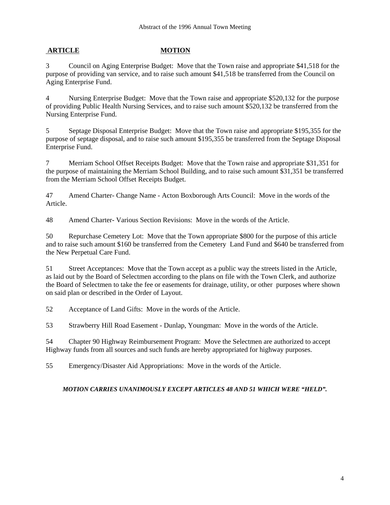# **ARTICLE MOTION**

3 Council on Aging Enterprise Budget: Move that the Town raise and appropriate \$41,518 for the purpose of providing van service, and to raise such amount \$41,518 be transferred from the Council on Aging Enterprise Fund.

4 Nursing Enterprise Budget: Move that the Town raise and appropriate \$520,132 for the purpose of providing Public Health Nursing Services, and to raise such amount \$520,132 be transferred from the Nursing Enterprise Fund.

5 Septage Disposal Enterprise Budget: Move that the Town raise and appropriate \$195,355 for the purpose of septage disposal, and to raise such amount \$195,355 be transferred from the Septage Disposal Enterprise Fund.

7 Merriam School Offset Receipts Budget: Move that the Town raise and appropriate \$31,351 for the purpose of maintaining the Merriam School Building, and to raise such amount \$31,351 be transferred from the Merriam School Offset Receipts Budget.

47 Amend Charter- Change Name - Acton Boxborough Arts Council: Move in the words of the Article.

48 Amend Charter- Various Section Revisions: Move in the words of the Article.

50 Repurchase Cemetery Lot: Move that the Town appropriate \$800 for the purpose of this article and to raise such amount \$160 be transferred from the Cemetery Land Fund and \$640 be transferred from the New Perpetual Care Fund.

51 Street Acceptances: Move that the Town accept as a public way the streets listed in the Article, as laid out by the Board of Selectmen according to the plans on file with the Town Clerk, and authorize the Board of Selectmen to take the fee or easements for drainage, utility, or other purposes where shown on said plan or described in the Order of Layout.

52 Acceptance of Land Gifts: Move in the words of the Article.

53 Strawberry Hill Road Easement - Dunlap, Youngman: Move in the words of the Article.

54 Chapter 90 Highway Reimbursement Program: Move the Selectmen are authorized to accept Highway funds from all sources and such funds are hereby appropriated for highway purposes.

55 Emergency/Disaster Aid Appropriations: Move in the words of the Article.

# *MOTION CARRIES UNANIMOUSLY EXCEPT ARTICLES 48 AND 51 WHICH WERE "HELD".*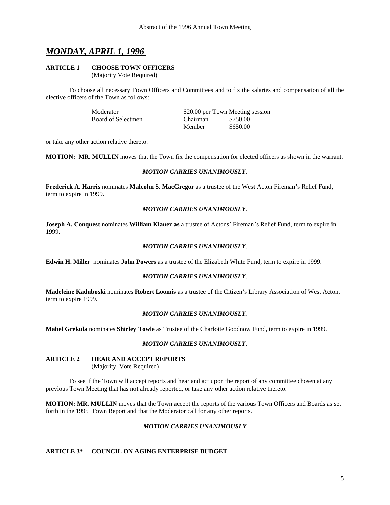# *MONDAY, APRIL 1, 1996*

# **ARTICLE 1 CHOOSE TOWN OFFICERS**

(Majority Vote Required)

 To choose all necessary Town Officers and Committees and to fix the salaries and compensation of all the elective officers of the Town as follows:

| Moderator          |                 | \$20.00 per Town Meeting session |
|--------------------|-----------------|----------------------------------|
| Board of Selectmen | <b>Chairman</b> | \$750.00                         |
|                    | Member          | \$650.00                         |

or take any other action relative thereto.

**MOTION: MR. MULLIN** moves that the Town fix the compensation for elected officers as shown in the warrant.

#### *MOTION CARRIES UNANIMOUSLY*.

**Frederick A. Harris** nominates **Malcolm S. MacGregor** as a trustee of the West Acton Fireman's Relief Fund, term to expire in 1999.

#### *MOTION CARRIES UNANIMOUSLY*.

**Joseph A. Conquest** nominates **William Klauer as** a trustee of Actons' Fireman's Relief Fund, term to expire in 1999.

#### *MOTION CARRIES UNANIMOUSLY*.

**Edwin H. Miller** nominates **John Powers** as a trustee of the Elizabeth White Fund, term to expire in 1999.

#### *MOTION CARRIES UNANIMOUSLY*.

**Madeleine Kaduboski** nominates **Robert Loomis** as a trustee of the Citizen's Library Association of West Acton, term to expire 1999.

#### *MOTION CARRIES UNANIMOUSLY.*

**Mabel Grekula** nominates **Shirley Towle** as Trustee of the Charlotte Goodnow Fund, term to expire in 1999.

# *MOTION CARRIES UNANIMOUSLY*.

#### **ARTICLE 2 HEAR AND ACCEPT REPORTS**

(Majority Vote Required)

 To see if the Town will accept reports and hear and act upon the report of any committee chosen at any previous Town Meeting that has not already reported, or take any other action relative thereto.

**MOTION: MR. MULLIN** moves that the Town accept the reports of the various Town Officers and Boards as set forth in the 1995 Town Report and that the Moderator call for any other reports.

#### *MOTION CARRIES UNANIMOUSLY*

#### **ARTICLE 3\* COUNCIL ON AGING ENTERPRISE BUDGET**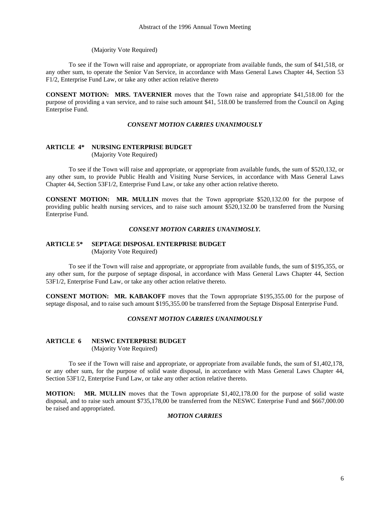#### (Majority Vote Required)

 To see if the Town will raise and appropriate, or appropriate from available funds, the sum of \$41,518, or any other sum, to operate the Senior Van Service, in accordance with Mass General Laws Chapter 44, Section 53 F1/2, Enterprise Fund Law, or take any other action relative thereto

**CONSENT MOTION: MRS. TAVERNIER** moves that the Town raise and appropriate \$41,518.00 for the purpose of providing a van service, and to raise such amount \$41, 518.00 be transferred from the Council on Aging Enterprise Fund.

#### *CONSENT MOTION CARRIES UNANIMOUSLY*

# **ARTICLE 4\* NURSING ENTERPRISE BUDGET**

(Majority Vote Required)

 To see if the Town will raise and appropriate, or appropriate from available funds, the sum of \$520,132, or any other sum, to provide Public Health and Visiting Nurse Services, in accordance with Mass General Laws Chapter 44, Section 53F1/2, Enterprise Fund Law, or take any other action relative thereto.

**CONSENT MOTION: MR. MULLIN** moves that the Town appropriate \$520,132.00 for the purpose of providing public health nursing services, and to raise such amount \$520,132.00 be transferred from the Nursing Enterprise Fund.

#### *CONSENT MOTION CARRIES UNANIMOSLY.*

#### **ARTICLE 5\* SEPTAGE DISPOSAL ENTERPRISE BUDGET**

(Majority Vote Required)

 To see if the Town will raise and appropriate, or appropriate from available funds, the sum of \$195,355, or any other sum, for the purpose of septage disposal, in accordance with Mass General Laws Chapter 44, Section 53F1/2, Enterprise Fund Law, or take any other action relative thereto.

**CONSENT MOTION: MR. KABAKOFF** moves that the Town appropriate \$195,355.00 for the purpose of septage disposal, and to raise such amount \$195,355.00 be transferred from the Septage Disposal Enterprise Fund.

#### *CONSENT MOTION CARRIES UNANIMOUSLY*

#### **ARTICLE 6 NESWC ENTERPRISE BUDGET**  (Majority Vote Required)

 To see if the Town will raise and appropriate, or appropriate from available funds, the sum of \$1,402,178, or any other sum, for the purpose of solid waste disposal, in accordance with Mass General Laws Chapter 44, Section 53F1/2, Enterprise Fund Law, or take any other action relative thereto.

**MOTION: MR. MULLIN** moves that the Town appropriate \$1,402,178.00 for the purpose of solid waste disposal, and to raise such amount \$735,178,00 be transferred from the NESWC Enterprise Fund and \$667,000.00 be raised and appropriated.

#### *MOTION CARRIES*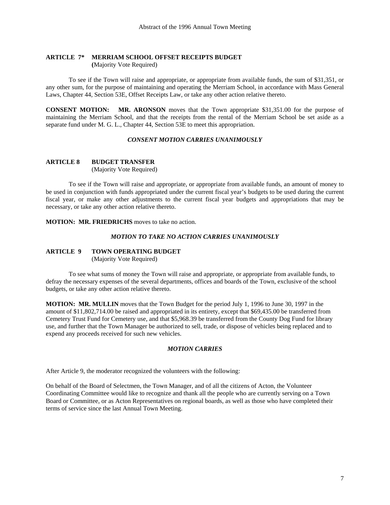# **ARTICLE 7\* MERRIAM SCHOOL OFFSET RECEIPTS BUDGET**

 **(**Majority Vote Required)

 To see if the Town will raise and appropriate, or appropriate from available funds, the sum of \$31,351, or any other sum, for the purpose of maintaining and operating the Merriam School, in accordance with Mass General Laws, Chapter 44, Section 53E, Offset Receipts Law, or take any other action relative thereto.

**CONSENT MOTION: MR. ARONSON** moves that the Town appropriate \$31,351.00 for the purpose of maintaining the Merriam School, and that the receipts from the rental of the Merriam School be set aside as a separate fund under M. G. L., Chapter 44, Section 53E to meet this appropriation.

#### *CONSENT MOTION CARRIES UNANIMOUSLY*

#### **ARTICLE 8 BUDGET TRANSFER**

(Majority Vote Required)

 To see if the Town will raise and appropriate, or appropriate from available funds, an amount of money to be used in conjunction with funds appropriated under the current fiscal year's budgets to be used during the current fiscal year, or make any other adjustments to the current fiscal year budgets and appropriations that may be necessary, or take any other action relative thereto.

**MOTION: MR. FRIEDRICHS** moves to take no action.

# *MOTION TO TAKE NO ACTION CARRIES UNANIMOUSLY*

### **ARTICLE 9 TOWN OPERATING BUDGET** (Majority Vote Required)

 To see what sums of money the Town will raise and appropriate, or appropriate from available funds, to defray the necessary expenses of the several departments, offices and boards of the Town, exclusive of the school budgets, or take any other action relative thereto.

**MOTION: MR. MULLIN** moves that the Town Budget for the period July 1, 1996 to June 30, 1997 in the amount of \$11,802,714.00 be raised and appropriated in its entirety, except that \$69,435.00 be transferred from Cemetery Trust Fund for Cemetery use, and that \$5,968.39 be transferred from the County Dog Fund for library use, and further that the Town Manager be authorized to sell, trade, or dispose of vehicles being replaced and to expend any proceeds received for such new vehicles.

#### *MOTION CARRIES*

After Article 9, the moderator recognized the volunteers with the following:

On behalf of the Board of Selectmen, the Town Manager, and of all the citizens of Acton, the Volunteer Coordinating Committee would like to recognize and thank all the people who are currently serving on a Town Board or Committee, or as Acton Representatives on regional boards, as well as those who have completed their terms of service since the last Annual Town Meeting.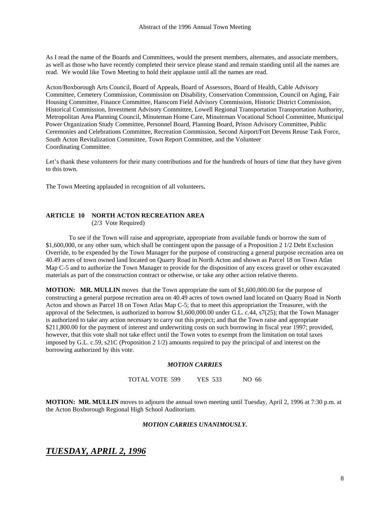As I read the name of the Boards and Committees, would the present members, alternates, and associate members, as well as those who have recently completed their service please stand and remain standing until all the names are read. We would like Town Meeting to hold their applause until all the names are read.

Acton/Boxborough Arts Council, Board of Appeals, Board of Assessors, Board of Health, Cable Advisory Committee, Cemetery Commission, Commission on Disability, Conservation Commission, Council on Aging, Fair Housing Committee, Finance Committee, Hanscom Field Advisory Commission, Historic District Commission, Historical Commission, Investment Advisory Committee, Lowell Regional Transportation Transportation Authority, Metropolitan Area Planning Council, Minuteman Home Care, Minuteman Vocational School Committee, Municipal Power Organization Study Committee, Personnel Board, Planning Board, Prison Advisory Committee, Public Ceremonies and Celebrations Committee, Recreation Commission, Second Airport/Fort Devens Reuse Task Force, South Acton Revitalization Committee, Town Report Committee, and the Volunteer Coordinating Committee.

Let's thank these volunteers for their many contributions and for the hundreds of hours of time that they have given to this town.

The Town Meeting applauded in recognition of all volunteers.

#### **ARTICLE 10 NORTH ACTON RECREATION AREA** (2/3 Vote Required)

To see if the Town will raise and appropriate, appropriate from available funds or borrow the sum of \$1,600,000, or any other sum, which shall be contingent upon the passage of a Proposition 2 1/2 Debt Exclusion Override, to be expended by the Town Manager for the purpose of constructing a general purpose recreation area on 40.49 acres of town owned land located on Quarry Road in North Acton and shown as Parcel 18 on Town Atlas Map C-5 and to authorize the Town Manager to provide for the disposition of any excess gravel or other excavated materials as part of the construction contract or otherwise, or take any other action relative thereto.

**MOTION: MR. MULLIN** moves that the Town appropriate the sum of \$1,600,000.00 for the purpose of constructing a general purpose recreation area on 40.49 acres of town owned land located on Quarry Road in North Acton and shown as Parcel 18 on Town Atlas Map C-5; that to meet this appropriation the Treasurer, with the approval of the Selectmen, is authorized to borrow \$1,600,000.00 under G.L. c.44, s7(25); that the Town Manager is authorized to take any action necessary to carry out this project; and that the Town raise and appropriate \$211,800.00 for the payment of interest and underwriting costs on such borrowing in fiscal year 1997; provided, however, that this vote shall not take effect until the Town votes to exempt from the limitation on total taxes imposed by G.L. c.59, s21C (Proposition 2 1/2) amounts required to pay the principal of and interest on the borrowing authorized by this vote.

#### *MOTION CARRIES*

TOTAL VOTE 599 YES 533 NO 66

**MOTION: MR. MULLIN** moves to adjourn the annual town meeting until Tuesday, April 2, 1996 at 7:30 p.m. at the Acton Boxborough Regional High School Auditorium.

#### *MOTION CARRIES UNANIMOUSLY.*

# *TUESDAY, APRIL 2, 1996*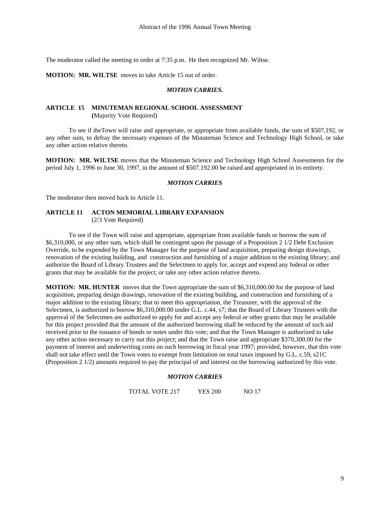The moderator called the meeting to order at 7:35 p.m. He then recognized Mr. Wiltse.

**MOTION: MR. WILTSE** moves to take Article 15 out of order.

#### *MOTION CARRIES.*

#### **ARTICLE 15 MINUTEMAN REGIONAL SCHOOL ASSESSMENT (**Majority Vote Required)

 To see if theTown will raise and appropriate, or appropriate from available funds, the sum of \$507,192, or any other sum, to defray the necessary expenses of the Minuteman Science and Technology High School, or take any other action relative thereto.

**MOTION: MR. WILTSE** moves that the Minuteman Science and Technology High School Assessments for the period July 1, 1996 to June 30, 1997, in the amount of \$507.192.00 be raised and appropriated in its entirety.

#### *MOTION CARRIES*

The moderator then moved back to Article 11.

# **ARTICLE 11 ACTON MEMORIAL LIBRARY EXPANSION**

(2/3 Vote Required)

To see if the Town will raise and appropriate, appropriate from available funds or borrow the sum of \$6,310,000, or any other sum, which shall be contingent upon the passage of a Proposition 2 1/2 Debt Exclusion Override, to be expended by the Town Manager for the purpose of land acquisition, preparing design drawings, renovation of the existing building, and construction and furnishing of a major addition to the existing library; and authorize the Board of Library Trustees and the Selectmen to apply for, accept and expend any federal or other grants that may be available for the project; or take any other action relative thereto.

**MOTION: MR. HUNTER** moves that the Town appropriate the sum of \$6,310,000.00 for the purpose of land acquisition, preparing design drawings, renovation of the existing building, and construction and furnishing of a major addition to the existing library; that to meet this appropriation, the Treasurer, with the approval of the Selectmen, is authorized to borrow \$6,310,000.00 under G.L. c.44, s7; that the Board of Library Trustees with the approval of the Selectmen are authorized to apply for and accept any federal or other grants that may be available for this project provided that the amount of the authorized borrowing shall be reduced by the amount of such aid received prior to the issuance of bonds or notes under this vote; and that the Town Manager is authorized to take any other action necessary to carry out this project; and that the Town raise and appropriate \$370,300.00 for the payment of interest and underwriting costs on such borrowing in fiscal year 1997; provided, however, that this vote shall not take effect until the Town votes to exempt from limitation on total taxes imposed by G.L. c.59, s21C (Proposition 2 1/2) amounts required to pay the principal of and interest on the borrowing authorized by this vote.

#### *MOTION CARRIES*

TOTAL VOTE 217 YES 200 NO 17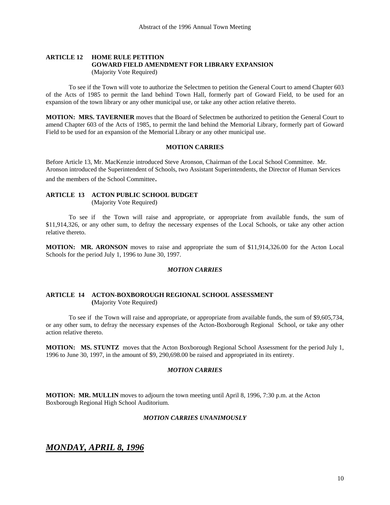# **ARTICLE 12 HOME RULE PETITION GOWARD FIELD AMENDMENT FOR LIBRARY EXPANSION**

(Majority Vote Required)

 To see if the Town will vote to authorize the Selectmen to petition the General Court to amend Chapter 603 of the Acts of 1985 to permit the land behind Town Hall, formerly part of Goward Field, to be used for an expansion of the town library or any other municipal use, or take any other action relative thereto.

**MOTION: MRS. TAVERNIER** moves that the Board of Selectmen be authorized to petition the General Court to amend Chapter 603 of the Acts of 1985, to permit the land behind the Memorial Library, formerly part of Goward Field to be used for an expansion of the Memorial Library or any other municipal use.

### **MOTION CARRIES**

Before Article 13, Mr. MacKenzie introduced Steve Aronson, Chairman of the Local School Committee. Mr. Aronson introduced the Superintendent of Schools, two Assistant Superintendents, the Director of Human Services and the members of the School Committee.

# **ARTICLE 13 ACTON PUBLIC SCHOOL BUDGET**

(Majority Vote Required)

 To see if the Town will raise and appropriate, or appropriate from available funds, the sum of \$11,914,326, or any other sum, to defray the necessary expenses of the Local Schools, or take any other action relative thereto.

**MOTION: MR. ARONSON** moves to raise and appropriate the sum of \$11,914,326.00 for the Acton Local Schools for the period July 1, 1996 to June 30, 1997.

#### *MOTION CARRIES*

#### **ARTICLE 14 ACTON-BOXBOROUGH REGIONAL SCHOOL ASSESSMENT (**Majority Vote Required)

 To see if the Town will raise and appropriate, or appropriate from available funds, the sum of \$9,605,734, or any other sum, to defray the necessary expenses of the Acton-Boxborough Regional School, or take any other action relative thereto.

**MOTION: MS. STUNTZ** moves that the Acton Boxborough Regional School Assessment for the period July 1, 1996 to June 30, 1997, in the amount of \$9, 290,698.00 be raised and appropriated in its entirety.

#### *MOTION CARRIES*

**MOTION: MR. MULLIN** moves to adjourn the town meeting until April 8, 1996, 7:30 p.m. at the Acton Boxborough Regional High School Auditorium.

### *MOTION CARRIES UNANIMOUSLY*

*MONDAY, APRIL 8, 1996*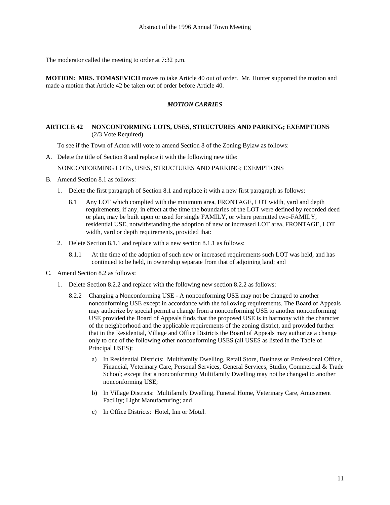The moderator called the meeting to order at 7:32 p.m.

**MOTION: MRS. TOMASEVICH** moves to take Article 40 out of order. Mr. Hunter supported the motion and made a motion that Article 42 be taken out of order before Article 40.

#### *MOTION CARRIES*

#### **ARTICLE 42 NONCONFORMING LOTS, USES, STRUCTURES AND PARKING; EXEMPTIONS**  (2/3 Vote Required)

To see if the Town of Acton will vote to amend Section 8 of the Zoning Bylaw as follows:

A. Delete the title of Section 8 and replace it with the following new title:

NONCONFORMING LOTS, USES, STRUCTURES AND PARKING; EXEMPTIONS

- B. Amend Section 8.1 as follows:
	- 1. Delete the first paragraph of Section 8.1 and replace it with a new first paragraph as follows:
		- 8.1 Any LOT which complied with the minimum area, FRONTAGE, LOT width, yard and depth requirements, if any, in effect at the time the boundaries of the LOT were defined by recorded deed or plan, may be built upon or used for single FAMILY, or where permitted two-FAMILY, residential USE, notwithstanding the adoption of new or increased LOT area, FRONTAGE, LOT width, yard or depth requirements, provided that:
	- 2. Delete Section 8.1.1 and replace with a new section 8.1.1 as follows:
		- 8.1.1 At the time of the adoption of such new or increased requirements such LOT was held, and has continued to be held, in ownership separate from that of adjoining land; and
- C. Amend Section 8.2 as follows:
	- 1. Delete Section 8.2.2 and replace with the following new section 8.2.2 as follows:
		- 8.2.2 Changing a Nonconforming USE A nonconforming USE may not be changed to another nonconforming USE except in accordance with the following requirements. The Board of Appeals may authorize by special permit a change from a nonconforming USE to another nonconforming USE provided the Board of Appeals finds that the proposed USE is in harmony with the character of the neighborhood and the applicable requirements of the zoning district, and provided further that in the Residential, Village and Office Districts the Board of Appeals may authorize a change only to one of the following other nonconforming USES (all USES as listed in the Table of Principal USES):
			- a) In Residential Districts: Multifamily Dwelling, Retail Store, Business or Professional Office, Financial, Veterinary Care, Personal Services, General Services, Studio, Commercial & Trade School; except that a nonconforming Multifamily Dwelling may not be changed to another nonconforming USE;
			- b) In Village Districts: Multifamily Dwelling, Funeral Home, Veterinary Care, Amusement Facility; Light Manufacturing; and
			- c) In Office Districts: Hotel, Inn or Motel.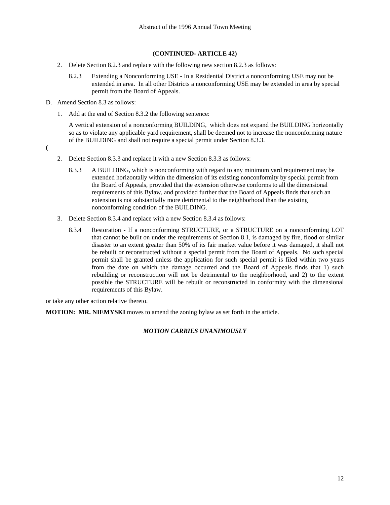- 2. Delete Section 8.2.3 and replace with the following new section 8.2.3 as follows:
	- 8.2.3 Extending a Nonconforming USE In a Residential District a nonconforming USE may not be extended in area. In all other Districts a nonconforming USE may be extended in area by special permit from the Board of Appeals.
- D. Amend Section 8.3 as follows:
	- 1. Add at the end of Section 8.3.2 the following sentence:

 A vertical extension of a nonconforming BUILDING, which does not expand the BUILDING horizontally so as to violate any applicable yard requirement, shall be deemed not to increase the nonconforming nature of the BUILDING and shall not require a special permit under Section 8.3.3.

**(** 

- 2. Delete Section 8.3.3 and replace it with a new Section 8.3.3 as follows:
	- 8.3.3 A BUILDING, which is nonconforming with regard to any minimum yard requirement may be extended horizontally within the dimension of its existing nonconformity by special permit from the Board of Appeals, provided that the extension otherwise conforms to all the dimensional requirements of this Bylaw, and provided further that the Board of Appeals finds that such an extension is not substantially more detrimental to the neighborhood than the existing nonconforming condition of the BUILDING.
- 3. Delete Section 8.3.4 and replace with a new Section 8.3.4 as follows:
	- 8.3.4 Restoration If a nonconforming STRUCTURE, or a STRUCTURE on a nonconforming LOT that cannot be built on under the requirements of Section 8.1, is damaged by fire, flood or similar disaster to an extent greater than 50% of its fair market value before it was damaged, it shall not be rebuilt or reconstructed without a special permit from the Board of Appeals. No such special permit shall be granted unless the application for such special permit is filed within two years from the date on which the damage occurred and the Board of Appeals finds that 1) such rebuilding or reconstruction will not be detrimental to the neighborhood, and 2) to the extent possible the STRUCTURE will be rebuilt or reconstructed in conformity with the dimensional requirements of this Bylaw.

or take any other action relative thereto.

**MOTION: MR. NIEMYSKI** moves to amend the zoning bylaw as set forth in the article.

#### *MOTION CARRIES UNANIMOUSLY*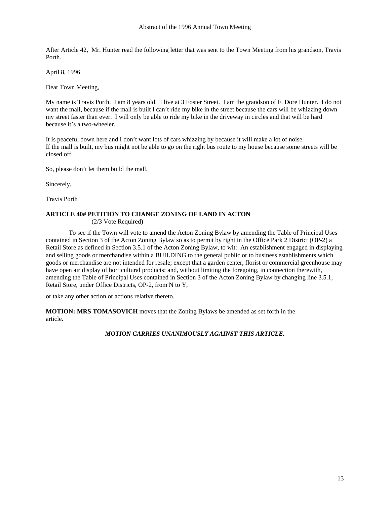After Article 42, Mr. Hunter read the following letter that was sent to the Town Meeting from his grandson, Travis Porth.

April 8, 1996

Dear Town Meeting,

My name is Travis Porth. I am 8 years old. I live at 3 Foster Street. I am the grandson of F. Dore Hunter. I do not want the mall, because if the mall is built I can't ride my bike in the street because the cars will be whizzing down my street faster than ever. I will only be able to ride my bike in the driveway in circles and that will be hard because it's a two-wheeler.

It is peaceful down here and I don't want lots of cars whizzing by because it will make a lot of noise. If the mall is built, my bus might not be able to go on the right bus route to my house because some streets will be closed off.

So, please don't let them build the mall.

Sincerely,

Travis Porth

# **ARTICLE 40# PETITION TO CHANGE ZONING OF LAND IN ACTON**

(2/3 Vote Required)

 To see if the Town will vote to amend the Acton Zoning Bylaw by amending the Table of Principal Uses contained in Section 3 of the Acton Zoning Bylaw so as to permit by right in the Office Park 2 District (OP-2) a Retail Store as defined in Section 3.5.1 of the Acton Zoning Bylaw, to wit: An establishment engaged in displaying and selling goods or merchandise within a BUILDING to the general public or to business establishments which goods or merchandise are not intended for resale; except that a garden center, florist or commercial greenhouse may have open air display of horticultural products; and, without limiting the foregoing, in connection therewith, amending the Table of Principal Uses contained in Section 3 of the Acton Zoning Bylaw by changing line 3.5.1, Retail Store, under Office Districts, OP-2, from N to Y,

or take any other action or actions relative thereto.

**MOTION: MRS TOMASOVICH** moves that the Zoning Bylaws be amended as set forth in the article.

#### *MOTION CARRIES UNANIMOUSLY AGAINST THIS ARTICLE.*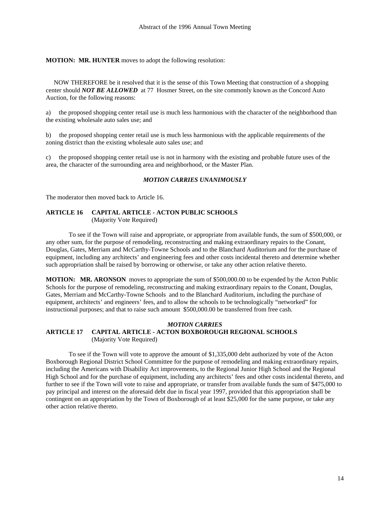**MOTION: MR. HUNTER** moves to adopt the following resolution:

 NOW THEREFORE be it resolved that it is the sense of this Town Meeting that construction of a shopping center should *NOT BE ALLOWED* at 77 Hosmer Street, on the site commonly known as the Concord Auto Auction, for the following reasons:

a) the proposed shopping center retail use is much less harmonious with the character of the neighborhood than the existing wholesale auto sales use; and

b) the proposed shopping center retail use is much less harmonious with the applicable requirements of the zoning district than the existing wholesale auto sales use; and

c) the proposed shopping center retail use is not in harmony with the existing and probable future uses of the area, the character of the surrounding area and neighborhood, or the Master Plan.

#### *MOTION CARRIES UNANIMOUSLY*

The moderator then moved back to Article 16.

# **ARTICLE 16 CAPITAL ARTICLE - ACTON PUBLIC SCHOOLS**

(Majority Vote Required)

 To see if the Town will raise and appropriate, or appropriate from available funds, the sum of \$500,000, or any other sum, for the purpose of remodeling, reconstructing and making extraordinary repairs to the Conant, Douglas, Gates, Merriam and McCarthy-Towne Schools and to the Blanchard Auditorium and for the purchase of equipment, including any architects' and engineering fees and other costs incidental thereto and determine whether such appropriation shall be raised by borrowing or otherwise, or take any other action relative thereto.

**MOTION: MR. ARONSON** moves to appropriate the sum of \$500,000.00 to be expended by the Acton Public Schools for the purpose of remodeling, reconstructing and making extraordinary repairs to the Conant, Douglas, Gates, Merriam and McCarthy-Towne Schools and to the Blanchard Auditorium, including the purchase of equipment, architects' and engineers' fees, and to allow the schools to be technologically "networked" for instructional purposes; and that to raise such amount \$500,000.00 be transferred from free cash.

#### *MOTION CARRIES*  **ARTICLE 17 CAPITAL ARTICLE - ACTON BOXBOROUGH REGIONAL SCHOOLS** (Majority Vote Required)

 To see if the Town will vote to approve the amount of \$1,335,000 debt authorized by vote of the Acton Boxborough Regional District School Committee for the purpose of remodeling and making extraordinary repairs, including the Americans with Disability Act improvements, to the Regional Junior High School and the Regional High School and for the purchase of equipment, including any architects' fees and other costs incidental thereto, and further to see if the Town will vote to raise and appropriate, or transfer from available funds the sum of \$475,000 to pay principal and interest on the aforesaid debt due in fiscal year 1997, provided that this appropriation shall be contingent on an appropriation by the Town of Boxborough of at least \$25,000 for the same purpose, or take any other action relative thereto.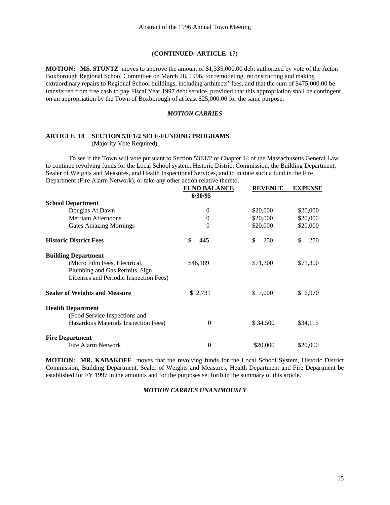**MOTION: MS. STUNTZ** moves to approve the amount of \$1,335,000.00 debt authorized by vote of the Acton Boxborough Regional School Committee on March 28, 1996, for remodeling, reconstructing and making extraordinary repairs to Regional School buildings, including arthitects' fees, and that the sum of \$475,000.00 be transferred from free cash to pay Fiscal Year 1997 debt service, provided that this appropriation shall be contingent on an appropriation by the Town of Boxborough of at least \$25,000.00 for the same purpose.

#### *MOTION CARRIES*

# **ARTICLE 18 SECTION 53E1/2 SELF-FUNDING PROGRAMS**

(Majority Vote Required)

 To see if the Town will vote pursuant to Section 53E1/2 of Chapter 44 of the Massachusetts General Law to continue revolving funds for the Local School system, Historic District Commission, the Building Department, Sealer of Weights and Measures, and Health Inspectional Services, and to initiate such a fund in the Fire Department (Fire Alarm Network), or take any other action relative thereto.

|                                        | <b>FUND BALANCE</b> | <b>REVENUE</b> | <b>EXPENSE</b> |
|----------------------------------------|---------------------|----------------|----------------|
|                                        | 6/30/95             |                |                |
| <b>School Department</b>               |                     |                |                |
| Douglas At Dawn                        | $\theta$            | \$20,000       | \$20,000       |
| Merriam Afternoons                     | 0                   | \$20,000       | \$20,000       |
| <b>Gates Amazing Mornings</b>          | $\theta$            | \$20,000       | \$20,000       |
| <b>Historic District Fees</b>          | \$<br>445           | \$<br>250      | \$<br>250      |
| <b>Building Department</b>             |                     |                |                |
| (Micro Film Fees, Electrical,          | \$46,189            | \$71,300       | \$71,300       |
| Plumbing and Gas Permits, Sign         |                     |                |                |
| Licenses and Periodic Inspection Fees) |                     |                |                |
| <b>Sealer of Weights and Measure</b>   | \$2,731             | \$ 7,000       | \$ 6,970       |
| <b>Health Department</b>               |                     |                |                |
| (Food Service Inspections and          |                     |                |                |
| Hazardous Materials Inspection Fees)   | $\theta$            | \$34,500       | \$34,115       |
| <b>Fire Department</b>                 |                     |                |                |
| Fire Alarm Network                     | 0                   | \$20,000       | \$20,000       |

**MOTION: MR. KABAKOFF** moves that the revolving funds for the Local School System, Historic District Commission, Building Department, Sealer of Weights and Measures, Health Department and Fire Department be established for FY 1997 in the amounts and for the purposes set forth in the summary of this article.

# *MOTION CARRIES UNANIMOUSLY*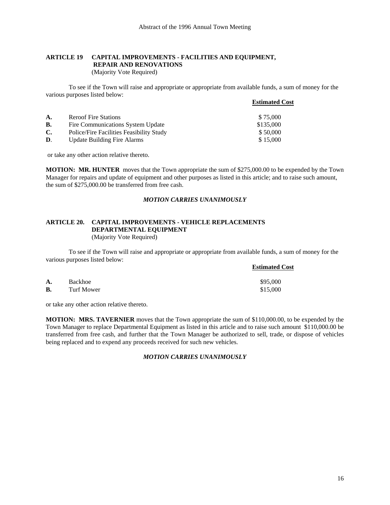# **ARTICLE 19 CAPITAL IMPROVEMENTS - FACILITIES AND EQUIPMENT, REPAIR AND RENOVATIONS**

(Majority Vote Required)

 To see if the Town will raise and appropriate or appropriate from available funds, a sum of money for the various purposes listed below:

|                |                                          | <b>Estimated Cost</b> |
|----------------|------------------------------------------|-----------------------|
| A.             | <b>Reroof Fire Stations</b>              | \$75,000              |
| В.             | Fire Communications System Update        | \$135,000             |
| $\mathbf{C}$ . | Police/Fire Facilities Feasibility Study | \$50,000              |
| D.             | <b>Update Building Fire Alarms</b>       | \$15,000              |

or take any other action relative thereto.

**MOTION: MR. HUNTER** moves that the Town appropriate the sum of \$275,000.00 to be expended by the Town Manager for repairs and update of equipment and other purposes as listed in this article; and to raise such amount, the sum of \$275,000.00 be transferred from free cash.

# *MOTION CARRIES UNANIMOUSLY*

#### **ARTICLE 20. CAPITAL IMPROVEMENTS - VEHICLE REPLACEMENTS DEPARTMENTAL EQUIPMENT** (Majority Vote Required)

 To see if the Town will raise and appropriate or appropriate from available funds, a sum of money for the various purposes listed below:

**Estimated Cost**

| A.        | Backhoe    | \$95,000 |
|-----------|------------|----------|
| <b>B.</b> | Turf Mower | \$15,000 |

or take any other action relative thereto.

**MOTION: MRS. TAVERNIER** moves that the Town appropriate the sum of \$110,000.00, to be expended by the Town Manager to replace Departmental Equipment as listed in this article and to raise such amount \$110,000.00 be transferred from free cash, and further that the Town Manager be authorized to sell, trade, or dispose of vehicles being replaced and to expend any proceeds received for such new vehicles.

#### *MOTION CARRIES UNANIMOUSLY*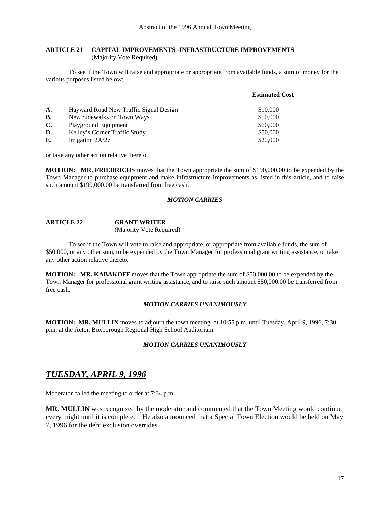#### **ARTICLE 21 CAPITAL IMPROVEMENTS -INFRASTRUCTURE IMPROVEMENTS**  (Majority Vote Required)

 To see if the Town will raise and appropriate or appropriate from available funds, a sum of money for the various purposes listed below:

|           |                                        | <b>Estimated Cost</b> |
|-----------|----------------------------------------|-----------------------|
| A.        | Hayward Road New Traffic Signal Design | \$10,000              |
| <b>B.</b> | New Sidewalks on Town Ways             | \$50,000              |
| C.        | Playground Equipment                   | \$60,000              |
| D.        | Kelley's Corner Traffic Study          | \$50,000              |
| Е.        | Irrigation 2A/27                       | \$20,000              |

or take any other action relative thereto.

**MOTION: MR. FRIEDRICHS** moves that the Town appropriate the sum of \$190,000.00 to be expended by the Town Manager to purchase equipment and make infrastructure improvements as listed in this article, and to raise such amount \$190,000.00 be transferred from free cash.

#### *MOTION CARRIES*

| <b>ARTICLE 22</b> | <b>GRANT WRITER</b>      |
|-------------------|--------------------------|
|                   | (Majority Vote Required) |

 To see if the Town will vote to raise and appropriate, or appropriate from available funds, the sum of \$50,000, or any other sum, to be expended by the Town Manager for professional grant writing assistance, or take any other action relative thereto.

**MOTION: MR. KABAKOFF** moves that the Town appropriate the sum of \$50,000.00 to be expended by the Town Manager for professional grant writing assistance, and to raise such amount \$50,000.00 be transferred from free cash.

#### *MOTION CARRIES UNANIMOUSLY*

**MOTION: MR. MULLIN** moves to adjourn the town meeting at 10:55 p.m. until Tuesday, April 9, 1996, 7:30 p.m. at the Acton Boxborough Regional High School Auditorium.

#### *MOTION CARRIES UNANIMOUSLY*

# *TUESDAY, APRIL 9, 1996*

Moderator called the meeting to order at 7:34 p.m.

**MR. MULLIN** was recognized by the moderator and commented that the Town Meeting would continue every night until it is completed. He also announced that a Special Town Election would be held on May 7, 1996 for the debt exclusion overrides.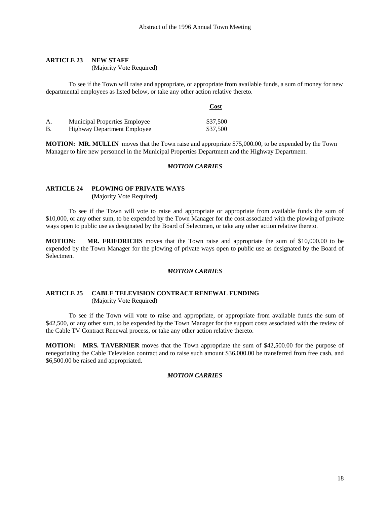#### **ARTICLE 23 NEW STAFF**

(Majority Vote Required)

To see if the Town will raise and appropriate, or appropriate from available funds, a sum of money for new departmental employees as listed below, or take any other action relative thereto.

|              |                                      | Cost     |
|--------------|--------------------------------------|----------|
| $\mathsf{A}$ | <b>Municipal Properties Employee</b> | \$37,500 |
| В.           | <b>Highway Department Employee</b>   | \$37,500 |

**MOTION: MR. MULLIN** moves that the Town raise and appropriate \$75,000.00, to be expended by the Town Manager to hire new personnel in the Municipal Properties Department and the Highway Department.

#### *MOTION CARRIES*

# **ARTICLE 24 PLOWING OF PRIVATE WAYS**

 **(**Majority Vote Required)

To see if the Town will vote to raise and appropriate or appropriate from available funds the sum of \$10,000, or any other sum, to be expended by the Town Manager for the cost associated with the plowing of private ways open to public use as designated by the Board of Selectmen, or take any other action relative thereto.

**MOTION: MR. FRIEDRICHS** moves that the Town raise and appropriate the sum of \$10,000.00 to be expended by the Town Manager for the plowing of private ways open to public use as designated by the Board of Selectmen.

#### *MOTION CARRIES*

#### **ARTICLE 25 CABLE TELEVISION CONTRACT RENEWAL FUNDING** (Majority Vote Required)

 To see if the Town will vote to raise and appropriate, or appropriate from available funds the sum of \$42,500, or any other sum, to be expended by the Town Manager for the support costs associated with the review of the Cable TV Contract Renewal process, or take any other action relative thereto.

**MOTION: MRS. TAVERNIER** moves that the Town appropriate the sum of \$42,500.00 for the purpose of renegotiating the Cable Television contract and to raise such amount \$36,000.00 be transferred from free cash, and \$6,500.00 be raised and appropriated.

#### *MOTION CARRIES*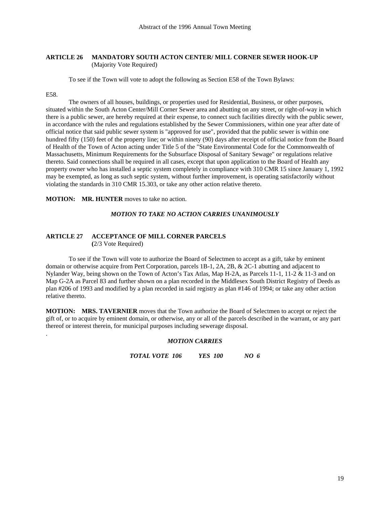### **ARTICLE 26 MANDATORY SOUTH ACTON CENTER/ MILL CORNER SEWER HOOK-UP** (Majority Vote Required)

To see if the Town will vote to adopt the following as Section E58 of the Town Bylaws:

#### E58.

.

 The owners of all houses, buildings, or properties used for Residential, Business, or other purposes, situated within the South Acton Center/Mill Corner Sewer area and abutting on any street, or right-of-way in which there is a public sewer, are hereby required at their expense, to connect such facilities directly with the public sewer, in accordance with the rules and regulations established by the Sewer Commissioners, within one year after date of official notice that said public sewer system is "approved for use", provided that the public sewer is within one hundred fifty (150) feet of the property line; or within ninety (90) days after receipt of official notice from the Board of Health of the Town of Acton acting under Title 5 of the "State Environmental Code for the Commonwealth of Massachusetts, Minimum Requirements for the Subsurface Disposal of Sanitary Sewage" or regulations relative thereto. Said connections shall be required in all cases, except that upon application to the Board of Health any property owner who has installed a septic system completely in compliance with 310 CMR 15 since January 1, 1992 may be exempted, as long as such septic system, without further improvement, is operating satisfactorily without violating the standards in 310 CMR 15.303, or take any other action relative thereto.

**MOTION: MR. HUNTER** moves to take no action.

#### *MOTION TO TAKE NO ACTION CARRIES UNANIMOUSLY*

### **ARTICLE 27 ACCEPTANCE OF MILL CORNER PARCELS (**2/3 Vote Required)

To see if the Town will vote to authorize the Board of Selectmen to accept as a gift, take by eminent domain or otherwise acquire from Pert Corporation, parcels 1B-1, 2A, 2B, & 2C-1 abutting and adjacent to Nylander Way, being shown on the Town of Acton's Tax Atlas, Map H-2A, as Parcels 11-1, 11-2 & 11-3 and on Map G-2A as Parcel 83 and further shown on a plan recorded in the Middlesex South District Registry of Deeds as plan #206 of 1993 and modified by a plan recorded in said registry as plan #146 of 1994; or take any other action relative thereto.

**MOTION: MRS. TAVERNIER** moves that the Town authorize the Board of Selectmen to accept or reject the gift of, or to acquire by eminent domain, or otherwise, any or all of the parcels described in the warrant, or any part thereof or interest therein, for municipal purposes including sewerage disposal.

#### *MOTION CARRIES*

*TOTAL VOTE 106 YES 100 NO 6*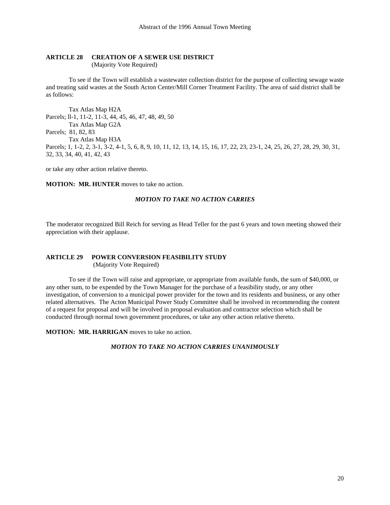#### **ARTICLE 28 CREATION OF A SEWER USE DISTRICT**

(Majority Vote Required)

 To see if the Town will establish a wastewater collection district for the purpose of collecting sewage waste and treating said wastes at the South Acton Center/Mill Corner Treatment Facility. The area of said district shall be as follows:

 Tax Atlas Map H2A Parcels; ll-1, 11-2, 11-3, 44, 45, 46, 47, 48, 49, 50 Tax Atlas Map G2A Parcels; 81, 82, 83 Tax Atlas Map H3A Parcels; 1, 1-2, 2, 3-1, 3-2, 4-1, 5, 6, 8, 9, 10, 11, 12, 13, 14, 15, 16, 17, 22, 23, 23-1, 24, 25, 26, 27, 28, 29, 30, 31, 32, 33, 34, 40, 41, 42, 43

or take any other action relative thereto.

**MOTION: MR. HUNTER** moves to take no action.

#### *MOTION TO TAKE NO ACTION CARRIES*

The moderator recognized Bill Reich for serving as Head Teller for the past 6 years and town meeting showed their appreciation with their applause.

#### **ARTICLE 29 POWER CONVERSION FEASIBILITY STUDY** (Majority Vote Required)

 To see if the Town will raise and appropriate, or appropriate from available funds, the sum of \$40,000, or any other sum, to be expended by the Town Manager for the purchase of a feasibility study, or any other investigation, of conversion to a municipal power provider for the town and its residents and business, or any other related alternatives. The Acton Municipal Power Study Committee shall be involved in recommending the content of a request for proposal and will be involved in proposal evaluation and contractor selection which shall be conducted through normal town government procedures, or take any other action relative thereto.

**MOTION: MR. HARRIGAN** moves to take no action.

### *MOTION TO TAKE NO ACTION CARRIES UNANIMOUSLY*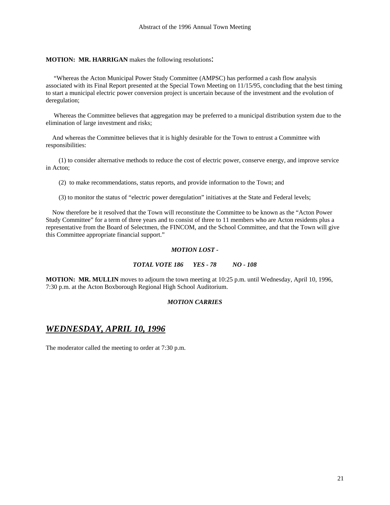#### **MOTION: MR. HARRIGAN** makes the following resolutions:

 "Whereas the Acton Municipal Power Study Committee (AMPSC) has performed a cash flow analysis associated with its Final Report presented at the Special Town Meeting on 11/15/95, concluding that the best timing to start a municipal electric power conversion project is uncertain because of the investment and the evolution of deregulation;

 Whereas the Committee believes that aggregation may be preferred to a municipal distribution system due to the elimination of large investment and risks;

 And whereas the Committee believes that it is highly desirable for the Town to entrust a Committee with responsibilities:

 (1) to consider alternative methods to reduce the cost of electric power, conserve energy, and improve service in Acton;

(2) to make recommendations, status reports, and provide information to the Town; and

(3) to monitor the status of "electric power deregulation" initiatives at the State and Federal levels;

 Now therefore be it resolved that the Town will reconstitute the Committee to be known as the "Acton Power Study Committee" for a term of three years and to consist of three to 11 members who are Acton residents plus a representative from the Board of Selectmen, the FINCOM, and the School Committee, and that the Town will give this Committee appropriate financial support."

#### *MOTION LOST -*

#### *TOTAL VOTE 186 YES - 78 NO - 108*

**MOTION: MR. MULLIN** moves to adjourn the town meeting at 10:25 p.m. until Wednesday, April 10, 1996, 7:30 p.m. at the Acton Boxborough Regional High School Auditorium.

#### *MOTION CARRIES*

# *WEDNESDAY, APRIL 10, 1996*

The moderator called the meeting to order at 7:30 p.m.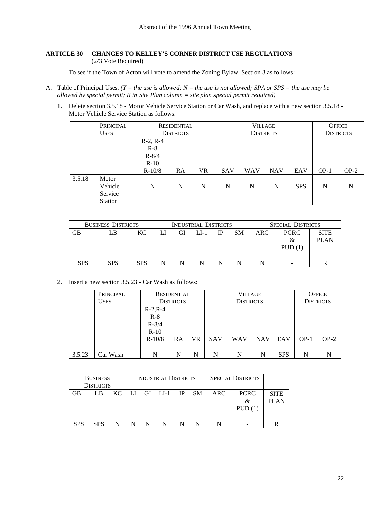### **ARTICLE 30 CHANGES TO KELLEY'S CORNER DISTRICT USE REGULATIONS**  (2/3 Vote Required)

To see if the Town of Acton will vote to amend the Zoning Bylaw, Section 3 as follows:

- A. Table of Principal Uses. *(Y = the use is allowed; N = the use is not allowed; SPA or SPS = the use may be allowed by special permit; R in Site Plan column = site plan special permit required)*
	- 1. Delete section 3.5.18 Motor Vehicle Service Station or Car Wash, and replace with a new section 3.5.18 Motor Vehicle Service Station as follows:

|        | PRINCIPAL      | RESIDENTIAL |                  |           | <b>VILLAGE</b> |            |                  |            | <b>OFFICE</b>    |        |
|--------|----------------|-------------|------------------|-----------|----------------|------------|------------------|------------|------------------|--------|
|        | <b>USES</b>    |             | <b>DISTRICTS</b> |           |                |            | <b>DISTRICTS</b> |            | <b>DISTRICTS</b> |        |
|        |                | $R-2, R-4$  |                  |           |                |            |                  |            |                  |        |
|        |                | $R-8$       |                  |           |                |            |                  |            |                  |        |
|        |                | $R - 8/4$   |                  |           |                |            |                  |            |                  |        |
|        |                | $R-10$      |                  |           |                |            |                  |            |                  |        |
|        |                | $R-10/8$    | RA               | <b>VR</b> | <b>SAV</b>     | <b>WAV</b> | <b>NAV</b>       | EAV        | $OP-1$           | $OP-2$ |
| 3.5.18 | Motor          |             |                  |           |                |            |                  |            |                  |        |
|        | Vehicle        | N           | N                | N         | N              | N          | N                | <b>SPS</b> | N                | N      |
|        | Service        |             |                  |           |                |            |                  |            |                  |        |
|        | <b>Station</b> |             |                  |           |                |            |                  |            |                  |        |

| <b>BUSINESS DISTRICTS</b> | INDUSTRIAL DISTRICTS |            |   |    |           | <b>SPECIAL DISTRICTS</b> |           |     |             |  |  |
|---------------------------|----------------------|------------|---|----|-----------|--------------------------|-----------|-----|-------------|--|--|
| GВ                        | LB                   | KC.        |   | GI | $L_{I-1}$ | IP                       | <b>SM</b> | ARC | <b>PCRC</b> |  |  |
|                           |                      |            |   |    |           |                          |           |     | &           |  |  |
|                           |                      |            |   |    |           |                          |           |     | PUD         |  |  |
|                           |                      |            |   |    |           |                          |           |     |             |  |  |
| <b>SPS</b>                | <b>SPS</b>           | <b>SPS</b> | N |    | N         |                          |           |     | -           |  |  |

2. Insert a new section 3.5.23 - Car Wash as follows:

|        | PRINCIPAL   | RESIDENTIAL      |           |           | <b>VILLAGE</b>   |            |            |            | <b>OFFICE</b> |                  |
|--------|-------------|------------------|-----------|-----------|------------------|------------|------------|------------|---------------|------------------|
|        | <b>USES</b> | <b>DISTRICTS</b> |           |           | <b>DISTRICTS</b> |            |            |            |               | <b>DISTRICTS</b> |
|        |             | $R-2, R-4$       |           |           |                  |            |            |            |               |                  |
|        |             | $R-8$            |           |           |                  |            |            |            |               |                  |
|        |             | $R - 8/4$        |           |           |                  |            |            |            |               |                  |
|        |             | $R-10$           |           |           |                  |            |            |            |               |                  |
|        |             | $R-10/8$         | <b>RA</b> | <b>VR</b> | <b>SAV</b>       | <b>WAV</b> | <b>NAV</b> | EAV        | $OP-1$        | $OP-2$           |
|        |             |                  |           |           |                  |            |            |            |               |                  |
| 3.5.23 | Car Wash    | N                | N         | N         | N                | N          | N          | <b>SPS</b> | N             | N                |

|            | <b>BUSINESS</b>  |     |      | <b>INDUSTRIAL DISTRICTS</b> |           | <b>SPECIAL DISTRICTS</b> |             |             |
|------------|------------------|-----|------|-----------------------------|-----------|--------------------------|-------------|-------------|
|            | <b>DISTRICTS</b> |     |      |                             |           |                          |             |             |
| <b>GB</b>  | LB               | KC. | - LI | GI LI-1 IP                  | <b>SM</b> | <b>ARC</b>               | <b>PCRC</b> | <b>SITE</b> |
|            |                  |     |      |                             |           |                          | &           |             |
|            |                  |     |      |                             |           |                          | PUD(1)      |             |
|            |                  |     |      |                             |           |                          |             |             |
| <b>SPS</b> | <b>SPS</b>       | N   |      | N                           |           |                          |             | R           |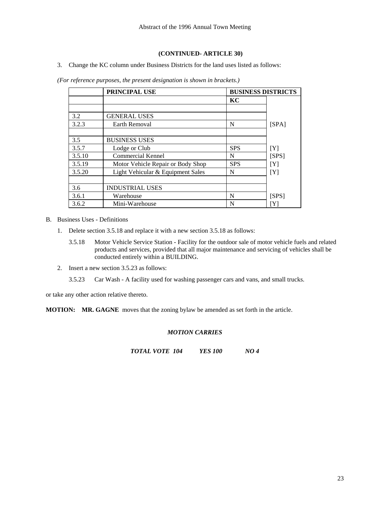3. Change the KC column under Business Districts for the land uses listed as follows:

|        | <b>PRINCIPAL USE</b>              | <b>BUSINESS DISTRICTS</b> |       |
|--------|-----------------------------------|---------------------------|-------|
|        |                                   | KС                        |       |
|        |                                   |                           |       |
| 3.2    | <b>GENERAL USES</b>               |                           |       |
| 3.2.3  | Earth Removal                     | N                         | [SPA] |
|        |                                   |                           |       |
| 3.5    | <b>BUSINESS USES</b>              |                           |       |
| 3.5.7  | Lodge or Club                     | <b>SPS</b>                | [Y]   |
| 3.5.10 | Commercial Kennel                 | N                         | [SPS] |
| 3.5.19 | Motor Vehicle Repair or Body Shop | <b>SPS</b>                | [Y]   |
| 3.5.20 | Light Vehicular & Equipment Sales | N                         | [Y]   |
|        |                                   |                           |       |
| 3.6    | <b>INDUSTRIAL USES</b>            |                           |       |
| 3.6.1  | Warehouse                         | N                         | [SPS] |
| 3.6.2  | Mini-Warehouse                    | N                         | ΓYΙ   |

*(For reference purposes, the present designation is shown in brackets.)* 

B. Business Uses - Definitions

- 1. Delete section 3.5.18 and replace it with a new section 3.5.18 as follows:
	- 3.5.18 Motor Vehicle Service Station Facility for the outdoor sale of motor vehicle fuels and related products and services, provided that all major maintenance and servicing of vehicles shall be conducted entirely within a BUILDING.
- 2. Insert a new section 3.5.23 as follows:

3.5.23 Car Wash - A facility used for washing passenger cars and vans, and small trucks.

or take any other action relative thereto.

**MOTION: MR. GAGNE** moves that the zoning bylaw be amended as set forth in the article.

#### *MOTION CARRIES*

*TOTAL VOTE 104 YES 100 NO 4*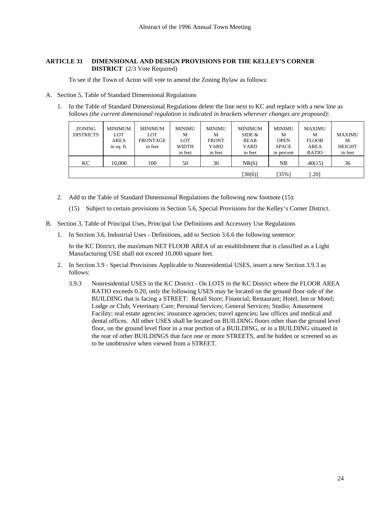#### **ARTICLE 31 DIMENSIONAL AND DESIGN PROVISIONS FOR THE KELLEY'S CORNER DISTRICT** (2/3 Vote Required)

To see if the Town of Acton will vote to amend the Zoning Bylaw as follows:

- A. Section 5, Table of Standard Dimensional Regulations
	- 1. In the Table of Standard Dimensional Regulations delete the line next to KC and replace with a new line as follows *(the current dimensional regulation is indicated in brackets wherever changes are proposed)*:

| <b>ZONING</b><br><b>DISTRICTS</b> | <b>MINIMUM</b><br>LOT<br><b>AREA</b><br>in sq. ft. | <b>MINIMUM</b><br><b>LOT</b><br><b>FRONTAGE</b><br>in feet | <b>MINIMU</b><br>М<br>LOT<br><b>WIDTH</b><br>in feet | <b>MINIMU</b><br>М<br><b>FRONT</b><br>YARD<br>in feet | <b>MINIMUM</b><br>SIDE $&$<br>REAR<br>YARD<br>in feet | MINIMU<br>M<br><b>OPEN</b><br><b>SPACE</b><br>in percent | <b>MAXIMU</b><br>М<br><b>FLOOR</b><br><b>AREA</b><br><b>RATIO</b> | <b>MAXIMU</b><br>M<br><b>HEIGHT</b><br>in feet |
|-----------------------------------|----------------------------------------------------|------------------------------------------------------------|------------------------------------------------------|-------------------------------------------------------|-------------------------------------------------------|----------------------------------------------------------|-------------------------------------------------------------------|------------------------------------------------|
| KС                                | 10.000                                             | 100                                                        | 50                                                   | 30                                                    | NR(6)                                                 | <b>NR</b>                                                | .40(15)                                                           | 36                                             |
|                                   |                                                    |                                                            |                                                      |                                                       | [30(6)]                                               | $[35\%]$                                                 | .201                                                              |                                                |

- 2. Add to the Table of Standard Dimensional Regulations the following new footnote (15):
	- (15) Subject to certain provisions in Section 5.6, Special Provisions for the Kelley's Corner District.
- B. Section 3, Table of Principal Uses, Principal Use Definitions and Accessory Use Regulations
	- 1. In Section 3.6, Industrial Uses Definitions, add to Section 3.6.6 the following sentence:

In the KC District, the maximum NET FLOOR AREA of an establishment that is classified as a Light Manufacturing USE shall not exceed 10,000 square feet.

- 2. In Section 3.9 Special Provisions Applicable to Nonresidential USES, insert a new Section 3.9.3 as follows:
	- 3.9.3 Nonresidential USES in the KC District On LOTS in the KC District where the FLOOR AREA RATIO exceeds 0.20, only the following USES may be located on the ground floor side of the BUILDING that is facing a STREET: Retail Store; Financial; Restaurant; Hotel, Inn or Motel; Lodge or Club; Veterinary Care; Personal Services; General Services; Studio; Amusement Facility; real estate agencies; insurance agencies; travel agencies; law offices and medical and dental offices. All other USES shall be located on BUILDING floors other than the ground level floor, on the ground level floor in a rear portion of a BUILDING, or in a BUILDING situated in the rear of other BUILDINGS that face one or more STREETS, and be hidden or screened so as to be unobtrusive when viewed from a STREET.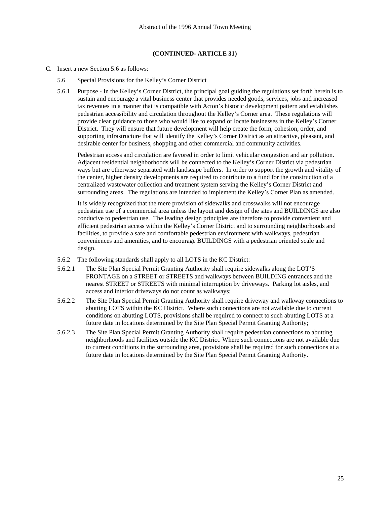- C. Insert a new Section 5.6 as follows:
	- 5.6 Special Provisions for the Kelley's Corner District
	- 5.6.1 Purpose In the Kelley's Corner District, the principal goal guiding the regulations set forth herein is to sustain and encourage a vital business center that provides needed goods, services, jobs and increased tax revenues in a manner that is compatible with Acton's historic development pattern and establishes pedestrian accessibility and circulation throughout the Kelley's Corner area. These regulations will provide clear guidance to those who would like to expand or locate businesses in the Kelley's Corner District. They will ensure that future development will help create the form, cohesion, order, and supporting infrastructure that will identify the Kelley's Corner District as an attractive, pleasant, and desirable center for business, shopping and other commercial and community activities.

 Pedestrian access and circulation are favored in order to limit vehicular congestion and air pollution. Adjacent residential neighborhoods will be connected to the Kelley's Corner District via pedestrian ways but are otherwise separated with landscape buffers. In order to support the growth and vitality of the center, higher density developments are required to contribute to a fund for the construction of a centralized wastewater collection and treatment system serving the Kelley's Corner District and surrounding areas. The regulations are intended to implement the Kelley's Corner Plan as amended.

 It is widely recognized that the mere provision of sidewalks and crosswalks will not encourage pedestrian use of a commercial area unless the layout and design of the sites and BUILDINGS are also conducive to pedestrian use. The leading design principles are therefore to provide convenient and efficient pedestrian access within the Kelley's Corner District and to surrounding neighborhoods and facilities, to provide a safe and comfortable pedestrian environment with walkways, pedestrian conveniences and amenities, and to encourage BUILDINGS with a pedestrian oriented scale and design.

- 5.6.2 The following standards shall apply to all LOTS in the KC District:
- 5.6.2.1 The Site Plan Special Permit Granting Authority shall require sidewalks along the LOT'S FRONTAGE on a STREET or STREETS and walkways between BUILDING entrances and the nearest STREET or STREETS with minimal interruption by driveways. Parking lot aisles, and access and interior driveways do not count as walkways;
- 5.6.2.2 The Site Plan Special Permit Granting Authority shall require driveway and walkway connections to abutting LOTS within the KC District. Where such connections are not available due to current conditions on abutting LOTS, provisions shall be required to connect to such abutting LOTS at a future date in locations determined by the Site Plan Special Permit Granting Authority;
- 5.6.2.3 The Site Plan Special Permit Granting Authority shall require pedestrian connections to abutting neighborhoods and facilities outside the KC District. Where such connections are not available due to current conditions in the surrounding area, provisions shall be required for such connections at a future date in locations determined by the Site Plan Special Permit Granting Authority.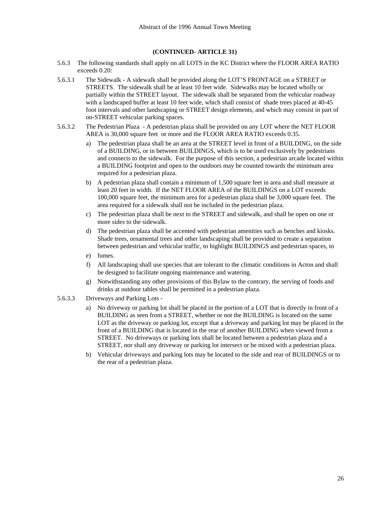- 5.6.3 The following standards shall apply on all LOTS in the KC District where the FLOOR AREA RATIO exceeds 0.20:
- 5.6.3.1 The Sidewalk A sidewalk shall be provided along the LOT'S FRONTAGE on a STREET or STREETS. The sidewalk shall be at least 10 feet wide. Sidewalks may be located wholly or partially within the STREET layout. The sidewalk shall be separated from the vehicular roadway with a landscaped buffer at least 10 feet wide, which shall consist of shade trees placed at 40-45 foot intervals and other landscaping or STREET design elements, and which may consist in part of on-STREET vehicular parking spaces.
- 5.6.3.2 The Pedestrian Plaza A pedestrian plaza shall be provided on any LOT where the NET FLOOR AREA is 30,000 square feet or more and the FLOOR AREA RATIO exceeds 0.35.
	- a) The pedestrian plaza shall be an area at the STREET level in front of a BUILDING, on the side of a BUILDING, or in between BUILDINGS, which is to be used exclusively by pedestrians and connects to the sidewalk. For the purpose of this section, a pedestrian arcade located within a BUILDING footprint and open to the outdoors may be counted towards the minimum area required for a pedestrian plaza.
	- b) A pedestrian plaza shall contain a minimum of 1,500 square feet in area and shall measure at least 20 feet in width. If the NET FLOOR AREA of the BUILDINGS on a LOT exceeds 100,000 square feet, the minimum area for a pedestrian plaza shall be 3,000 square feet. The area required for a sidewalk shall not be included in the pedestrian plaza.
	- c) The pedestrian plaza shall be next to the STREET and sidewalk, and shall be open on one or more sides to the sidewalk.
	- d) The pedestrian plaza shall be accented with pedestrian amenities such as benches and kiosks. Shade trees, ornamental trees and other landscaping shall be provided to create a separation between pedestrian and vehicular traffic, to highlight BUILDINGS and pedestrian spaces, to
	- e) fumes.
	- f) All landscaping shall use species that are tolerant to the climatic conditions in Acton and shall be designed to facilitate ongoing maintenance and watering.
	- g) Notwithstanding any other provisions of this Bylaw to the contrary, the serving of foods and drinks at outdoor tables shall be permitted in a pedestrian plaza.
- 5.6.3.3 Driveways and Parking Lots
	- No driveway or parking lot shall be placed in the portion of a LOT that is directly in front of a BUILDING as seen from a STREET, whether or not the BUILDING is located on the same LOT as the driveway or parking lot, except that a driveway and parking lot may be placed in the front of a BUILDING that is located in the rear of another BUILDING when viewed from a STREET. No driveways or parking lots shall be located between a pedestrian plaza and a STREET, nor shall any driveway or parking lot intersect or be mixed with a pedestrian plaza.
	- b) Vehicular driveways and parking lots may be located to the side and rear of BUILDINGS or to the rear of a pedestrian plaza.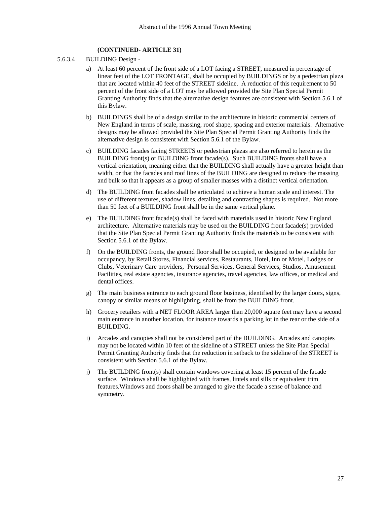- 5.6.3.4 BUILDING Design
	- a) At least 60 percent of the front side of a LOT facing a STREET, measured in percentage of linear feet of the LOT FRONTAGE, shall be occupied by BUILDINGS or by a pedestrian plaza that are located within 40 feet of the STREET sideline. A reduction of this requirement to 50 percent of the front side of a LOT may be allowed provided the Site Plan Special Permit Granting Authority finds that the alternative design features are consistent with Section 5.6.1 of this Bylaw.
	- b) BUILDINGS shall be of a design similar to the architecture in historic commercial centers of New England in terms of scale, massing, roof shape, spacing and exterior materials. Alternative designs may be allowed provided the Site Plan Special Permit Granting Authority finds the alternative design is consistent with Section 5.6.1 of the Bylaw.
	- c) BUILDING facades facing STREETS or pedestrian plazas are also referred to herein as the BUILDING front(s) or BUILDING front facade(s). Such BUILDING fronts shall have a vertical orientation, meaning either that the BUILDING shall actually have a greater height than width, or that the facades and roof lines of the BUILDING are designed to reduce the massing and bulk so that it appears as a group of smaller masses with a distinct vertical orientation.
	- d) The BUILDING front facades shall be articulated to achieve a human scale and interest. The use of different textures, shadow lines, detailing and contrasting shapes is required. Not more than 50 feet of a BUILDING front shall be in the same vertical plane.
	- e) The BUILDING front facade(s) shall be faced with materials used in historic New England architecture. Alternative materials may be used on the BUILDING front facade(s) provided that the Site Plan Special Permit Granting Authority finds the materials to be consistent with Section 5.6.1 of the Bylaw.
	- f) On the BUILDING fronts, the ground floor shall be occupied, or designed to be available for occupancy, by Retail Stores, Financial services, Restaurants, Hotel, Inn or Motel, Lodges or Clubs, Veterinary Care providers, Personal Services, General Services, Studios, Amusement Facilities, real estate agencies, insurance agencies, travel agencies, law offices, or medical and dental offices.
	- g) The main business entrance to each ground floor business, identified by the larger doors, signs, canopy or similar means of highlighting, shall be from the BUILDING front.
	- h) Grocery retailers with a NET FLOOR AREA larger than 20,000 square feet may have a second main entrance in another location, for instance towards a parking lot in the rear or the side of a BUILDING.
	- i) Arcades and canopies shall not be considered part of the BUILDING. Arcades and canopies may not be located within 10 feet of the sideline of a STREET unless the Site Plan Special Permit Granting Authority finds that the reduction in setback to the sideline of the STREET is consistent with Section 5.6.1 of the Bylaw.
	- j) The BUILDING front(s) shall contain windows covering at least 15 percent of the facade surface. Windows shall be highlighted with frames, lintels and sills or equivalent trim features.Windows and doors shall be arranged to give the facade a sense of balance and symmetry.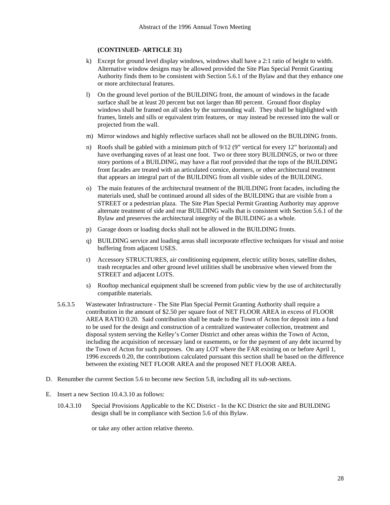- k) Except for ground level display windows, windows shall have a 2:1 ratio of height to width. Alternative window designs may be allowed provided the Site Plan Special Permit Granting Authority finds them to be consistent with Section 5.6.1 of the Bylaw and that they enhance one or more architectural features.
- l) On the ground level portion of the BUILDING front, the amount of windows in the facade surface shall be at least 20 percent but not larger than 80 percent. Ground floor display windows shall be framed on all sides by the surrounding wall. They shall be highlighted with frames, lintels and sills or equivalent trim features, or may instead be recessed into the wall or projected from the wall.
- m) Mirror windows and highly reflective surfaces shall not be allowed on the BUILDING fronts.
- n) Roofs shall be gabled with a minimum pitch of 9/12 (9" vertical for every 12" horizontal) and have overhanging eaves of at least one foot. Two or three story BUILDINGS, or two or three story portions of a BUILDING, may have a flat roof provided that the tops of the BUILDING front facades are treated with an articulated cornice, dormers, or other architectural treatment that appears an integral part of the BUILDING from all visible sides of the BUILDING.
- o) The main features of the architectural treatment of the BUILDING front facades, including the materials used, shall be continued around all sides of the BUILDING that are visible from a STREET or a pedestrian plaza. The Site Plan Special Permit Granting Authority may approve alternate treatment of side and rear BUILDING walls that is consistent with Section 5.6.1 of the Bylaw and preserves the architectural integrity of the BUILDING as a whole.
- p) Garage doors or loading docks shall not be allowed in the BUILDING fronts.
- q) BUILDING service and loading areas shall incorporate effective techniques for visual and noise buffering from adjacent USES.
- r) Accessory STRUCTURES, air conditioning equipment, electric utility boxes, satellite dishes, trash receptacles and other ground level utilities shall be unobtrusive when viewed from the STREET and adjacent LOTS.
- s) Rooftop mechanical equipment shall be screened from public view by the use of architecturally compatible materials.
- 5.6.3.5 Wastewater Infrastructure The Site Plan Special Permit Granting Authority shall require a contribution in the amount of \$2.50 per square foot of NET FLOOR AREA in excess of FLOOR AREA RATIO 0.20. Said contribution shall be made to the Town of Acton for deposit into a fund to be used for the design and construction of a centralized wastewater collection, treatment and disposal system serving the Kelley's Corner District and other areas within the Town of Acton, including the acquisition of necessary land or easements, or for the payment of any debt incurred by the Town of Acton for such purposes. On any LOT where the FAR existing on or before April 1, 1996 exceeds 0.20, the contributions calculated pursuant this section shall be based on the difference between the existing NET FLOOR AREA and the proposed NET FLOOR AREA.
- D. Renumber the current Section 5.6 to become new Section 5.8, including all its sub-sections.
- E. Insert a new Section 10.4.3.10 as follows:
	- 10.4.3.10 Special Provisions Applicable to the KC District In the KC District the site and BUILDING design shall be in compliance with Section 5.6 of this Bylaw.

or take any other action relative thereto.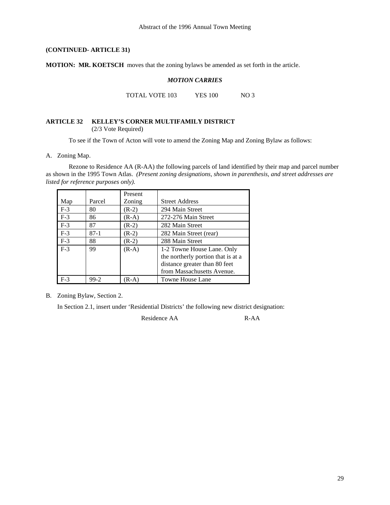**MOTION: MR. KOETSCH** moves that the zoning bylaws be amended as set forth in the article.

#### *MOTION CARRIES*

TOTAL VOTE 103 YES 100 NO 3

#### **ARTICLE 32 KELLEY'S CORNER MULTIFAMILY DISTRICT**  (2/3 Vote Required)

To see if the Town of Acton will vote to amend the Zoning Map and Zoning Bylaw as follows:

#### A. Zoning Map.

 Rezone to Residence AA (R-AA) the following parcels of land identified by their map and parcel number as shown in the 1995 Town Atlas. *(Present zoning designations, shown in parenthesis, and street addresses are listed for reference purposes only).* 

|       |        | Present |                                    |
|-------|--------|---------|------------------------------------|
| Map   | Parcel | Zoning  | <b>Street Address</b>              |
| $F-3$ | 80     | $(R-2)$ | 294 Main Street                    |
| $F-3$ | 86     | $(R-A)$ | 272-276 Main Street                |
| $F-3$ | 87     | $(R-2)$ | 282 Main Street                    |
| $F-3$ | $87-1$ | $(R-2)$ | 282 Main Street (rear)             |
| $F-3$ | 88     | $(R-2)$ | 288 Main Street                    |
| $F-3$ | 99     | $(R-A)$ | 1-2 Towne House Lane. Only         |
|       |        |         | the northerly portion that is at a |
|       |        |         | distance greater than 80 feet      |
|       |        |         | from Massachusetts Avenue.         |
| $F-3$ | 99-2   | (R-A)   | <b>Towne House Lane</b>            |

B. Zoning Bylaw, Section 2.

In Section 2.1, insert under 'Residential Districts' the following new district designation:

Residence AA R-AA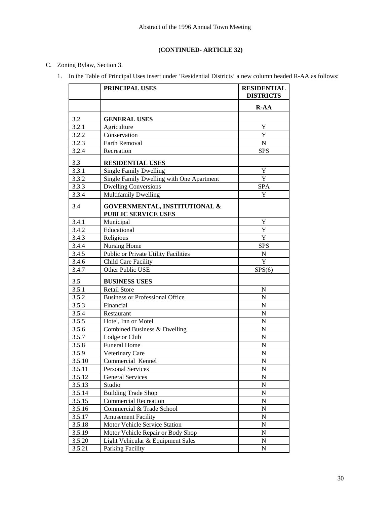# C. Zoning Bylaw, Section 3.

1. In the Table of Principal Uses insert under 'Residential Districts' a new column headed R-AA as follows:

|        | PRINCIPAL USES                                              | <b>RESIDENTIAL</b><br><b>DISTRICTS</b> |
|--------|-------------------------------------------------------------|----------------------------------------|
|        |                                                             | $R-AA$                                 |
| 3.2    | <b>GENERAL USES</b>                                         |                                        |
| 3.2.1  | Agriculture                                                 | Y                                      |
| 3.2.2  | Conservation                                                | Y                                      |
| 3.2.3  | Earth Removal                                               | ${\bf N}$                              |
| 3.2.4  | Recreation                                                  | <b>SPS</b>                             |
| 3.3    | <b>RESIDENTIAL USES</b>                                     |                                        |
| 3.3.1  | <b>Single Family Dwelling</b>                               | Y                                      |
| 3.3.2  | Single Family Dwelling with One Apartment                   | Y                                      |
| 3.3.3  | <b>Dwelling Conversions</b>                                 | <b>SPA</b>                             |
| 3.3.4  | <b>Multifamily Dwelling</b>                                 | Y                                      |
| 3.4    | GOVERNMENTAL, INSTITUTIONAL &<br><b>PUBLIC SERVICE USES</b> |                                        |
| 3.4.1  | Municipal                                                   | Y                                      |
| 3.4.2  | Educational                                                 | Y                                      |
| 3.4.3  | Religious                                                   | $\mathbf Y$                            |
| 3.4.4  | Nursing Home                                                | <b>SPS</b>                             |
| 3.4.5  | Public or Private Utility Facilities                        | ${\bf N}$                              |
| 3.4.6  | <b>Child Care Facility</b>                                  | Y                                      |
| 3.4.7  | Other Public USE                                            | SPS(6)                                 |
| 3.5    | <b>BUSINESS USES</b>                                        |                                        |
| 3.5.1  | <b>Retail Store</b>                                         | N                                      |
| 3.5.2  | <b>Business or Professional Office</b>                      | N                                      |
| 3.5.3  | Financial                                                   | ${\bf N}$                              |
| 3.5.4  | Restaurant                                                  | ${\bf N}$                              |
| 3.5.5  | Hotel, Inn or Motel                                         | N                                      |
| 3.5.6  | Combined Business & Dwelling                                | ${\bf N}$                              |
| 3.5.7  | Lodge or Club                                               | ${\bf N}$                              |
| 3.5.8  | <b>Funeral Home</b>                                         | $\mathbf N$                            |
| 3.5.9  | Veterinary Care                                             | $\mathbf N$                            |
| 3.5.10 | Commercial Kennel                                           | $\overline{N}$                         |
| 3.5.11 | Personal Services                                           | ${\bf N}$                              |
| 3.5.12 | <b>General Services</b>                                     | N                                      |
| 3.5.13 | Studio                                                      | ${\bf N}$                              |
| 3.5.14 | <b>Building Trade Shop</b>                                  | N                                      |
| 3.5.15 | <b>Commercial Recreation</b>                                | N                                      |
| 3.5.16 | Commercial & Trade School                                   | ${\bf N}$                              |
| 3.5.17 | <b>Amusement Facility</b>                                   | N                                      |
| 3.5.18 | Motor Vehicle Service Station                               | N                                      |
| 3.5.19 | Motor Vehicle Repair or Body Shop                           | ${\bf N}$                              |
| 3.5.20 | Light Vehicular & Equipment Sales                           | N                                      |
| 3.5.21 | Parking Facility                                            | N                                      |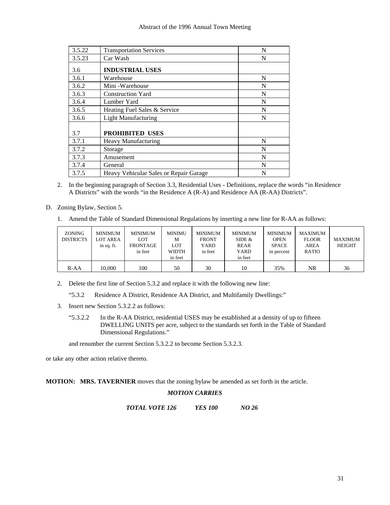#### Abstract of the 1996 Annual Town Meeting

| 3.5.22 | <b>Transportation Services</b>         | N |
|--------|----------------------------------------|---|
| 3.5.23 | Car Wash                               | N |
| 3.6    | <b>INDUSTRIAL USES</b>                 |   |
| 3.6.1  | Warehouse                              | N |
| 3.6.2  | Mini - Warehouse                       | N |
| 3.6.3  | <b>Construction Yard</b>               | N |
| 3.6.4  | Lumber Yard                            | N |
| 3.6.5  | Heating Fuel Sales & Service           | N |
| 3.6.6  | <b>Light Manufacturing</b>             | N |
| 3.7    | <b>PROHIBITED USES</b>                 |   |
| 3.7.1  | <b>Heavy Manufacturing</b>             | N |
| 3.7.2  | Storage                                | N |
| 3.7.3  | Amusement                              | N |
| 3.7.4  | General                                | N |
| 3.7.5  | Heavy Vehicular Sales or Repair Garage | N |

- 2. In the beginning paragraph of Section 3.3, Residential Uses Definitions, replace the words "in Residence A Districts" with the words "in the Residence A (R-A) and Residence AA (R-AA) Districts".
- D. Zoning Bylaw, Section 5.
	- 1. Amend the Table of Standard Dimensional Regulations by inserting a new line for R-AA as follows:

| <b>ZONING</b><br><b>DISTRICTS</b> | <b>MINIMUM</b><br><b>LOT AREA</b><br>in sq. ft. | <b>MINIMUM</b><br>LOT<br><b>FRONTAGE</b><br>in feet | MINIMU<br>M<br><b>LOT</b><br><b>WIDTH</b><br>in feet | <b>MINIMUM</b><br><b>FRONT</b><br>YARD<br>in feet | <b>MINIMUM</b><br>SIDE $&$<br>REAR<br>YARD<br>in feet | <b>MINIMUM</b><br><b>OPEN</b><br><b>SPACE</b><br>in percent | MAXIMUM<br><b>FLOOR</b><br><b>AREA</b><br><b>RATIO</b> | <b>MAXIMUM</b><br><b>HEIGHT</b> |
|-----------------------------------|-------------------------------------------------|-----------------------------------------------------|------------------------------------------------------|---------------------------------------------------|-------------------------------------------------------|-------------------------------------------------------------|--------------------------------------------------------|---------------------------------|
| $R-AA$                            | 10.000                                          | 100                                                 | 50                                                   | 30                                                | 10                                                    | 35%                                                         | NR                                                     | 36                              |

2. Delete the first line of Section 5.3.2 and replace it with the following new line:

"5.3.2 Residence A District, Residence AA District, and Multifamily Dwellings:"

- 3. Insert new Section 5.3.2.2 as follows:
	- "5.3.2.2 In the R-AA District, residential USES may be established at a density of up to fifteen DWELLING UNITS per acre, subject to the standards set forth in the Table of Standard Dimensional Regulations."

and renumber the current Section 5.3.2.2 to become Section 5.3.2.3.

or take any other action relative thereto.

**MOTION: MRS. TAVERNIER** moves that the zoning bylaw be amended as set forth in the article.

#### *MOTION CARRIES*

*TOTAL VOTE 126 YES 100 NO 26*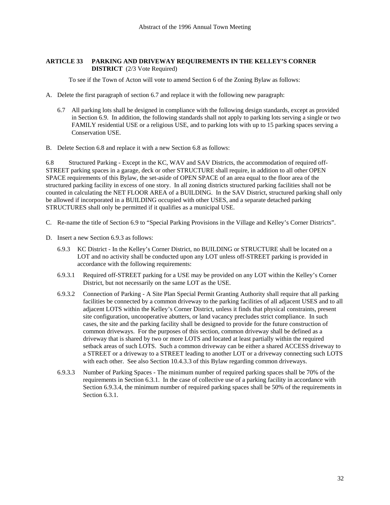#### **ARTICLE 33 PARKING AND DRIVEWAY REQUIREMENTS IN THE KELLEY'S CORNER DISTRICT** (2/3 Vote Required)

To see if the Town of Acton will vote to amend Section 6 of the Zoning Bylaw as follows:

- A. Delete the first paragraph of section 6.7 and replace it with the following new paragraph:
	- 6.7 All parking lots shall be designed in compliance with the following design standards, except as provided in Section 6.9. In addition, the following standards shall not apply to parking lots serving a single or two FAMILY residential USE or a religious USE, and to parking lots with up to 15 parking spaces serving a Conservation USE.
- B. Delete Section 6.8 and replace it with a new Section 6.8 as follows:

6.8 Structured Parking - Except in the KC, WAV and SAV Districts, the accommodation of required off-STREET parking spaces in a garage, deck or other STRUCTURE shall require, in addition to all other OPEN SPACE requirements of this Bylaw, the set-aside of OPEN SPACE of an area equal to the floor area of the structured parking facility in excess of one story. In all zoning districts structured parking facilities shall not be counted in calculating the NET FLOOR AREA of a BUILDING. In the SAV District, structured parking shall only be allowed if incorporated in a BUILDING occupied with other USES, and a separate detached parking STRUCTURES shall only be permitted if it qualifies as a municipal USE.

- C. Re-name the title of Section 6.9 to "Special Parking Provisions in the Village and Kelley's Corner Districts".
- D. Insert a new Section 6.9.3 as follows:
	- 6.9.3 KC District In the Kelley's Corner District, no BUILDING or STRUCTURE shall be located on a LOT and no activity shall be conducted upon any LOT unless off-STREET parking is provided in accordance with the following requirements:
	- 6.9.3.1 Required off-STREET parking for a USE may be provided on any LOT within the Kelley's Corner District, but not necessarily on the same LOT as the USE.
	- 6.9.3.2 Connection of Parking A Site Plan Special Permit Granting Authority shall require that all parking facilities be connected by a common driveway to the parking facilities of all adjacent USES and to all adjacent LOTS within the Kelley's Corner District, unless it finds that physical constraints, present site configuration, uncooperative abutters, or land vacancy precludes strict compliance. In such cases, the site and the parking facility shall be designed to provide for the future construction of common driveways. For the purposes of this section, common driveway shall be defined as a driveway that is shared by two or more LOTS and located at least partially within the required setback areas of such LOTS. Such a common driveway can be either a shared ACCESS driveway to a STREET or a driveway to a STREET leading to another LOT or a driveway connecting such LOTS with each other. See also Section 10.4.3.3 of this Bylaw regarding common driveways.
	- 6.9.3.3 Number of Parking Spaces The minimum number of required parking spaces shall be 70% of the requirements in Section 6.3.1. In the case of collective use of a parking facility in accordance with Section 6.9.3.4, the minimum number of required parking spaces shall be 50% of the requirements in Section 6.3.1.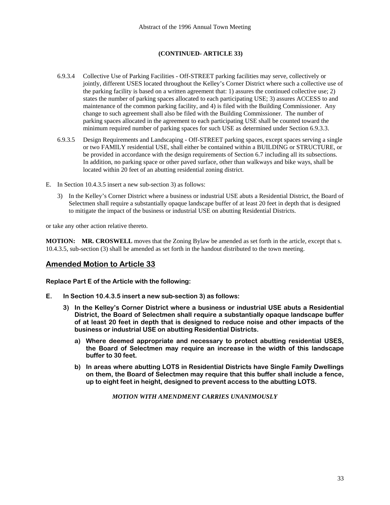- 6.9.3.4 Collective Use of Parking Facilities Off-STREET parking facilities may serve, collectively or jointly, different USES located throughout the Kelley's Corner District where such a collective use of the parking facility is based on a written agreement that: 1) assures the continued collective use; 2) states the number of parking spaces allocated to each participating USE; 3) assures ACCESS to and maintenance of the common parking facility, and 4) is filed with the Building Commissioner. Any change to such agreement shall also be filed with the Building Commissioner. The number of parking spaces allocated in the agreement to each participating USE shall be counted toward the minimum required number of parking spaces for such USE as determined under Section 6.9.3.3.
- 6.9.3.5 Design Requirements and Landscaping Off-STREET parking spaces, except spaces serving a single or two FAMILY residential USE, shall either be contained within a BUILDING or STRUCTURE, or be provided in accordance with the design requirements of Section 6.7 including all its subsections. In addition, no parking space or other paved surface, other than walkways and bike ways, shall be located within 20 feet of an abutting residential zoning district.
- E. In Section 10.4.3.5 insert a new sub-section 3) as follows:
	- 3) In the Kelley's Corner District where a business or industrial USE abuts a Residential District, the Board of Selectmen shall require a substantially opaque landscape buffer of at least 20 feet in depth that is designed to mitigate the impact of the business or industrial USE on abutting Residential Districts.

or take any other action relative thereto.

**MOTION: MR. CROSWELL** moves that the Zoning Bylaw be amended as set forth in the article, except that s. 10.4.3.5, sub-section (3) shall be amended as set forth in the handout distributed to the town meeting.

# **Amended Motion to Article 33**

**Replace Part E of the Article with the following:** 

- **E. In Section 10.4.3.5 insert a new sub-section 3) as follows:** 
	- **3) In the Kelley's Corner District where a business or industrial USE abuts a Residential District, the Board of Selectmen shall require a substantially opaque landscape buffer of at least 20 feet in depth that is designed to reduce noise and other impacts of the business or industrial USE on abutting Residential Districts.** 
		- **a) Where deemed appropriate and necessary to protect abutting residential USES, the Board of Selectmen may require an increase in the width of this landscape buffer to 30 feet.**
		- **b) In areas where abutting LOTS in Residential Districts have Single Family Dwellings on them, the Board of Selectmen may require that this buffer shall include a fence, up to eight feet in height, designed to prevent access to the abutting LOTS.**

*MOTION WITH AMENDMENT CARRIES UNANIMOUSLY*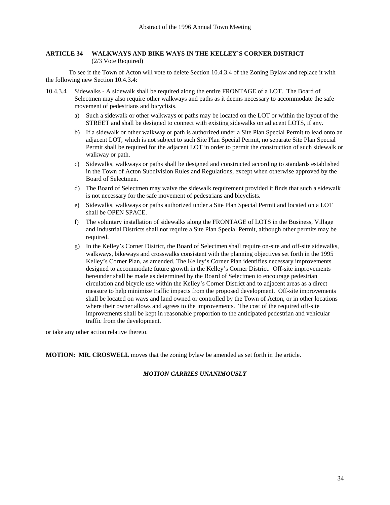#### **ARTICLE 34 WALKWAYS AND BIKE WAYS IN THE KELLEY'S CORNER DISTRICT**  (2/3 Vote Required)

 To see if the Town of Acton will vote to delete Section 10.4.3.4 of the Zoning Bylaw and replace it with the following new Section 10.4.3.4:

- 10.4.3.4 Sidewalks A sidewalk shall be required along the entire FRONTAGE of a LOT. The Board of Selectmen may also require other walkways and paths as it deems necessary to accommodate the safe movement of pedestrians and bicyclists.
	- a) Such a sidewalk or other walkways or paths may be located on the LOT or within the layout of the STREET and shall be designed to connect with existing sidewalks on adjacent LOTS, if any.
	- b) If a sidewalk or other walkway or path is authorized under a Site Plan Special Permit to lead onto an adjacent LOT, which is not subject to such Site Plan Special Permit, no separate Site Plan Special Permit shall be required for the adjacent LOT in order to permit the construction of such sidewalk or walkway or path.
	- c) Sidewalks, walkways or paths shall be designed and constructed according to standards established in the Town of Acton Subdivision Rules and Regulations, except when otherwise approved by the Board of Selectmen.
	- d) The Board of Selectmen may waive the sidewalk requirement provided it finds that such a sidewalk is not necessary for the safe movement of pedestrians and bicyclists.
	- e) Sidewalks, walkways or paths authorized under a Site Plan Special Permit and located on a LOT shall be OPEN SPACE.
	- f) The voluntary installation of sidewalks along the FRONTAGE of LOTS in the Business, Village and Industrial Districts shall not require a Site Plan Special Permit, although other permits may be required.
	- g) In the Kelley's Corner District, the Board of Selectmen shall require on-site and off-site sidewalks, walkways, bikeways and crosswalks consistent with the planning objectives set forth in the 1995 Kelley's Corner Plan, as amended. The Kelley's Corner Plan identifies necessary improvements designed to accommodate future growth in the Kelley's Corner District. Off-site improvements hereunder shall be made as determined by the Board of Selectmen to encourage pedestrian circulation and bicycle use within the Kelley's Corner District and to adjacent areas as a direct measure to help minimize traffic impacts from the proposed development. Off-site improvements shall be located on ways and land owned or controlled by the Town of Acton, or in other locations where their owner allows and agrees to the improvements. The cost of the required off-site improvements shall be kept in reasonable proportion to the anticipated pedestrian and vehicular traffic from the development.

or take any other action relative thereto.

**MOTION: MR. CROSWELL** moves that the zoning bylaw be amended as set forth in the article.

#### *MOTION CARRIES UNANIMOUSLY*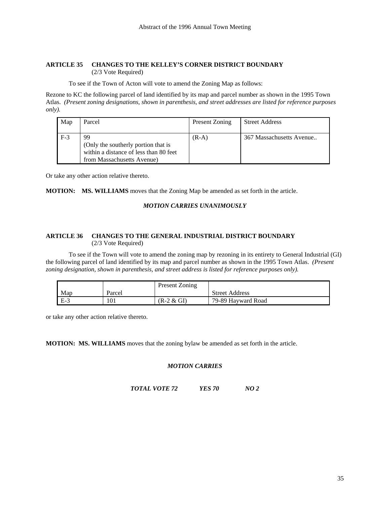#### **ARTICLE 35 CHANGES TO THE KELLEY'S CORNER DISTRICT BOUNDARY** (2/3 Vote Required)

To see if the Town of Acton will vote to amend the Zoning Map as follows:

Rezone to KC the following parcel of land identified by its map and parcel number as shown in the 1995 Town Atlas. *(Present zoning designations, shown in parenthesis, and street addresses are listed for reference purposes only).* 

| Map   | Parcel                                 | Present Zoning | <b>Street Address</b>    |
|-------|----------------------------------------|----------------|--------------------------|
|       |                                        |                |                          |
| $F-3$ | 99                                     | $(R-A)$        | 367 Massachusetts Avenue |
|       | (Only the southerly portion that is    |                |                          |
|       | within a distance of less than 80 feet |                |                          |
|       | from Massachusetts Avenue)             |                |                          |

Or take any other action relative thereto.

#### **MOTION: MS. WILLIAMS** moves that the Zoning Map be amended as set forth in the article.

#### *MOTION CARRIES UNANIMOUSLY*

#### **ARTICLE 36 CHANGES TO THE GENERAL INDUSTRIAL DISTRICT BOUNDARY**  (2/3 Vote Required)

 To see if the Town will vote to amend the zoning map by rezoning in its entirety to General Industrial (GI) the following parcel of land identified by its map and parcel number as shown in the 1995 Town Atlas. *(Present zoning designation, shown in parenthesis, and street address is listed for reference purposes only).*

|       |        | Present Zoning |                       |
|-------|--------|----------------|-----------------------|
| Map   | Parcel |                | <b>Street Address</b> |
| - E-3 | 101    | $(R-2 & GI)$   | 79-89 Hayward Road    |

or take any other action relative thereto.

**MOTION: MS. WILLIAMS** moves that the zoning bylaw be amended as set forth in the article.

#### *MOTION CARRIES*

*TOTAL VOTE 72 YES 70 NO 2*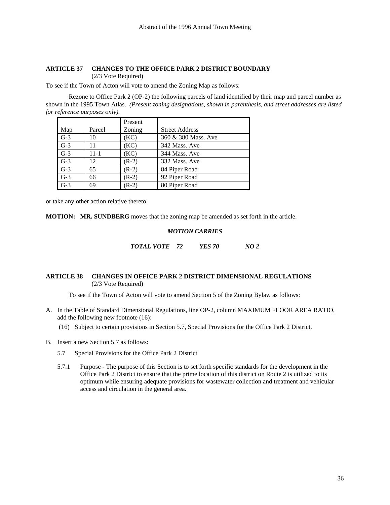# **ARTICLE 37 CHANGES TO THE OFFICE PARK 2 DISTRICT BOUNDARY**

(2/3 Vote Required)

To see if the Town of Acton will vote to amend the Zoning Map as follows:

 Rezone to Office Park 2 (OP-2) the following parcels of land identified by their map and parcel number as shown in the 1995 Town Atlas. *(Present zoning designations, shown in parenthesis, and street addresses are listed for reference purposes only).* 

|       |          | Present |                       |
|-------|----------|---------|-----------------------|
| Map   | Parcel   | Zoning  | <b>Street Address</b> |
| $G-3$ | 10       | (KC)    | 360 & 380 Mass. Ave   |
| $G-3$ | 11       | (KC)    | 342 Mass. Ave         |
| $G-3$ | $11 - 1$ | (KC)    | 344 Mass. Ave         |
| $G-3$ | 12       | $(R-2)$ | 332 Mass. Ave         |
| $G-3$ | 65       | $(R-2)$ | 84 Piper Road         |
| $G-3$ | 66       | $(R-2)$ | 92 Piper Road         |
| $G-3$ | 69       | $(R-2)$ | 80 Piper Road         |

or take any other action relative thereto.

**MOTION: MR. SUNDBERG** moves that the zoning map be amended as set forth in the article.

## *MOTION CARRIES*

*TOTAL VOTE 72 YES 70 NO 2* 

#### **ARTICLE 38 CHANGES IN OFFICE PARK 2 DISTRICT DIMENSIONAL REGULATIONS**  (2/3 Vote Required)

To see if the Town of Acton will vote to amend Section 5 of the Zoning Bylaw as follows:

- A. In the Table of Standard Dimensional Regulations, line OP-2, column MAXIMUM FLOOR AREA RATIO, add the following new footnote (16):
	- (16) Subject to certain provisions in Section 5.7, Special Provisions for the Office Park 2 District.
- B. Insert a new Section 5.7 as follows:
	- 5.7 Special Provisions for the Office Park 2 District
	- 5.7.1 Purpose The purpose of this Section is to set forth specific standards for the development in the Office Park 2 District to ensure that the prime location of this district on Route 2 is utilized to its optimum while ensuring adequate provisions for wastewater collection and treatment and vehicular access and circulation in the general area.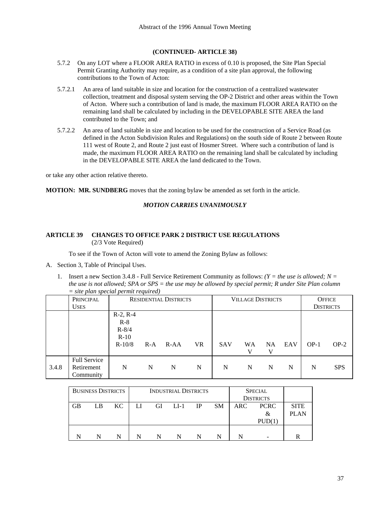- 5.7.2 On any LOT where a FLOOR AREA RATIO in excess of 0.10 is proposed, the Site Plan Special Permit Granting Authority may require, as a condition of a site plan approval, the following contributions to the Town of Acton:
- 5.7.2.1 An area of land suitable in size and location for the construction of a centralized wastewater collection, treatment and disposal system serving the OP-2 District and other areas within the Town of Acton. Where such a contribution of land is made, the maximum FLOOR AREA RATIO on the remaining land shall be calculated by including in the DEVELOPABLE SITE AREA the land contributed to the Town; and
- 5.7.2.2 An area of land suitable in size and location to be used for the construction of a Service Road (as defined in the Acton Subdivision Rules and Regulations) on the south side of Route 2 between Route 111 west of Route 2, and Route 2 just east of Hosmer Street. Where such a contribution of land is made, the maximum FLOOR AREA RATIO on the remaining land shall be calculated by including in the DEVELOPABLE SITE AREA the land dedicated to the Town.

or take any other action relative thereto.

**MOTION: MR. SUNDBERG** moves that the zoning bylaw be amended as set forth in the article.

#### *MOTION CARRIES UNANIMOUSLY*

# **ARTICLE 39 CHANGES TO OFFICE PARK 2 DISTRICT USE REGULATIONS** (2/3 Vote Required)

To see if the Town of Acton will vote to amend the Zoning Bylaw as follows:

- A. Section 3, Table of Principal Uses.
	- 1. Insert a new Section 3.4.8 Full Service Retirement Community as follows: *(Y = the use is allowed; N = the use is not allowed; SPA or SPS = the use may be allowed by special permit; R under Site Plan column = site plan special permit required)*

|       | PRINCIPAL                                      | <b>RESIDENTIAL DISTRICTS</b>                           |       |        | <b>VILLAGE DISTRICTS</b> |            |           |                | <b>OFFICE</b> |                  |            |
|-------|------------------------------------------------|--------------------------------------------------------|-------|--------|--------------------------|------------|-----------|----------------|---------------|------------------|------------|
|       | <b>USES</b>                                    |                                                        |       |        |                          |            |           |                |               | <b>DISTRICTS</b> |            |
|       |                                                | $R-2, R-4$<br>$R-8$<br>$R - 8/4$<br>$R-10$<br>$R-10/8$ | $R-A$ | $R-AA$ | VR                       | <b>SAV</b> | <b>WA</b> | <b>NA</b><br>V | EAV           | $OP-1$           | $OP-2$     |
| 3.4.8 | <b>Full Service</b><br>Retirement<br>Community | N                                                      | N     | N      | N                        | N          | N         | N              | N             | N                | <b>SPS</b> |

| <b>BUSINESS DISTRICTS</b> |    |     |    |        | <b>INDUSTRIAL DISTRICTS</b> |    |           |            | <b>SPECIAL</b><br><b>DISTRICTS</b> |                            |
|---------------------------|----|-----|----|--------|-----------------------------|----|-----------|------------|------------------------------------|----------------------------|
| <b>GB</b>                 | LB | KC. | LI | GI     | $LI-1$                      | IP | <b>SM</b> | <b>ARC</b> | <b>PCRC</b><br>&<br>PUD(1)         | <b>SITE</b><br><b>PLAN</b> |
|                           |    | N   | N  | N<br>N |                             |    |           | -          |                                    |                            |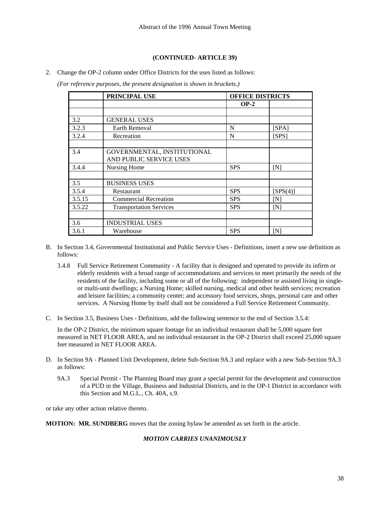2. Change the OP-2 column under Office Districts for the uses listed as follows:

 *(For reference purposes, the present designation is shown in brackets.)* 

|        | PRINCIPAL USE                  | <b>OFFICE DISTRICTS</b> |                |
|--------|--------------------------------|-------------------------|----------------|
|        |                                | $OP-2$                  |                |
|        |                                |                         |                |
| 3.2    | <b>GENERAL USES</b>            |                         |                |
| 3.2.3  | <b>Earth Removal</b>           | N                       | [SPA]          |
| 3.2.4  | Recreation                     | N                       | [SPS]          |
|        |                                |                         |                |
| 3.4    | GOVERNMENTAL, INSTITUTIONAL    |                         |                |
|        | AND PUBLIC SERVICE USES        |                         |                |
| 3.4.4  | Nursing Home                   | <b>SPS</b>              | ſΝl            |
|        |                                |                         |                |
| 3.5    | <b>BUSINESS USES</b>           |                         |                |
| 3.5.4  | Restaurant                     | <b>SPS</b>              | [SPS(4)]       |
| 3.5.15 | <b>Commercial Recreation</b>   | <b>SPS</b>              | $\mathsf{[N]}$ |
| 3.5.22 | <b>Transportation Services</b> | <b>SPS</b>              | ſΝl            |
|        |                                |                         |                |
| 3.6    | <b>INDUSTRIAL USES</b>         |                         |                |
| 3.6.1  | Warehouse                      | <b>SPS</b>              | ſΝl            |

- B. In Section 3.4, Governmental Institutional and Public Service Uses Definitions, insert a new use definition as follows:
	- 3.4.8 Full Service Retirement Community A facility that is designed and operated to provide its infirm or elderly residents with a broad range of accommodations and services to meet primarily the needs of the residents of the facility, including some or all of the following: independent or assisted living in singleor multi-unit dwellings; a Nursing Home; skilled nursing, medical and other health services; recreation and leisure facilities; a community center; and accessory food services, shops, personal care and other services. A Nursing Home by itself shall not be considered a Full Service Retirement Community.
- C. In Section 3.5, Business Uses Definitions, add the following sentence to the end of Section 3.5.4:

 In the OP-2 District, the minimum square footage for an individual restaurant shall be 5,000 square feet measured in NET FLOOR AREA, and no individual restaurant in the OP-2 District shall exceed 25,000 square feet measured in NET FLOOR AREA.

- D. In Section 9A Planned Unit Development, delete Sub-Section 9A.3 and replace with a new Sub-Section 9A.3 as follows:
	- 9A.3 Special PermitThe Planning Board may grant a special permit for the development and construction of a PUD in the Village, Business and Industrial Districts, and in the OP-1 District in accordance with this Section and M.G.L., Ch. 40A, s.9.

or take any other action relative thereto.

**MOTION: MR. SUNDBERG** moves that the zoning bylaw be amended as set forth in the article.

# *MOTION CARRIES UNANIMOUSLY*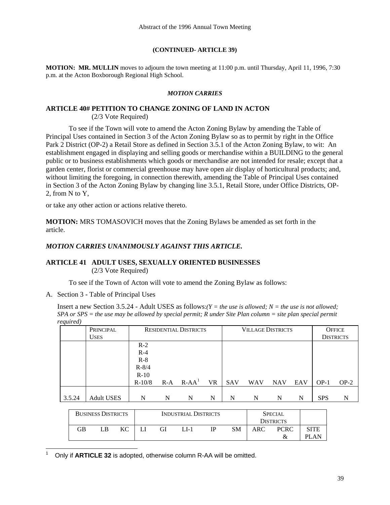**MOTION: MR. MULLIN** moves to adjourn the town meeting at 11:00 p.m. until Thursday, April 11, 1996, 7:30 p.m. at the Acton Boxborough Regional High School.

### *MOTION CARRIES*

# **ARTICLE 40# PETITION TO CHANGE ZONING OF LAND IN ACTON**

(2/3 Vote Required)

 To see if the Town will vote to amend the Acton Zoning Bylaw by amending the Table of Principal Uses contained in Section 3 of the Acton Zoning Bylaw so as to permit by right in the Office Park 2 District (OP-2) a Retail Store as defined in Section 3.5.1 of the Acton Zoning Bylaw, to wit: An establishment engaged in displaying and selling goods or merchandise within a BUILDING to the general public or to business establishments which goods or merchandise are not intended for resale; except that a garden center, florist or commercial greenhouse may have open air display of horticultural products; and, without limiting the foregoing, in connection therewith, amending the Table of Principal Uses contained in Section 3 of the Acton Zoning Bylaw by changing line 3.5.1, Retail Store, under Office Districts, OP-2, from N to Y,

or take any other action or actions relative thereto.

**MOTION:** MRS TOMASOVICH moves that the Zoning Bylaws be amended as set forth in the article.

# *MOTION CARRIES UNANIMOUSLY AGAINST THIS ARTICLE.*

# **ARTICLE 41 ADULT USES, SEXUALLY ORIENTED BUSINESSES**

(2/3 Vote Required)

To see if the Town of Acton will vote to amend the Zoning Bylaw as follows:

A. Section 3 - Table of Principal Uses

 $\overline{a}$ 

Insert a new Section 3.5.24 - Adult USES as follows: $(Y = the use is allowed; N = the use is not allowed;$ *SPA or SPS = the use may be allowed by special permit; R under Site Plan column = site plan special permit required)*

|        | PRINCIPAL         |           | <b>RESIDENTIAL DISTRICTS</b> | <b>VILLAGE DISTRICTS</b> |           |            |            | <b>OFFICE</b> |     |            |                  |
|--------|-------------------|-----------|------------------------------|--------------------------|-----------|------------|------------|---------------|-----|------------|------------------|
|        | <b>USES</b>       |           |                              |                          |           |            |            |               |     |            | <b>DISTRICTS</b> |
|        |                   | $R-2$     |                              |                          |           |            |            |               |     |            |                  |
|        |                   | $R-4$     |                              |                          |           |            |            |               |     |            |                  |
|        |                   | $R-8$     |                              |                          |           |            |            |               |     |            |                  |
|        |                   | $R - 8/4$ |                              |                          |           |            |            |               |     |            |                  |
|        |                   | $R-10$    |                              |                          |           |            |            |               |     |            |                  |
|        |                   | $R-10/8$  | $R-A$                        | $R$ -AA <sup>1</sup>     | <b>VR</b> | <b>SAV</b> | <b>WAV</b> | <b>NAV</b>    | EAV | $OP-1$     | $OP-2$           |
|        |                   |           |                              |                          |           |            |            |               |     |            |                  |
| 3.5.24 | <b>Adult USES</b> | N         | N                            | N                        | N         | N          | N          | N             | N   | <b>SPS</b> | N                |

| <b>BUSINESS DISTRICTS</b> |    |  |    | <b>INDUSTRIAL DISTRICTS</b> | <b>SPECIAL</b> |    |     |                  |       |
|---------------------------|----|--|----|-----------------------------|----------------|----|-----|------------------|-------|
|                           |    |  |    |                             |                |    |     | <b>DISTRICTS</b> |       |
| GВ                        | LB |  | GI | LI-1                        | IΡ             | SΜ | ARC | <b>PCRC</b>      | SITE  |
|                           |    |  |    |                             |                |    |     |                  | PI AN |

<span id="page-38-0"></span><sup>1</sup> Only if **ARTICLE 32** is adopted, otherwise column R-AA will be omitted.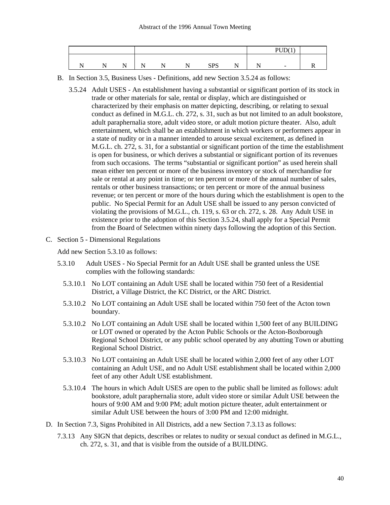|   |               |     |   |                   |          | DI I $D(1)$ |  |
|---|---------------|-----|---|-------------------|----------|-------------|--|
|   |               |     |   |                   |          |             |  |
| N | $\sim$ $\sim$ | . . | N | <b>CDC</b><br>ນ⊥ມ | N<br>. . | $\sim$      |  |

- B. In Section 3.5, Business Uses Definitions, add new Section 3.5.24 as follows:
	- 3.5.24 Adult USES An establishment having a substantial or significant portion of its stock in trade or other materials for sale, rental or display, which are distinguished or characterized by their emphasis on matter depicting, describing, or relating to sexual conduct as defined in M.G.L. ch. 272, s. 31, such as but not limited to an adult bookstore, adult paraphernalia store, adult video store, or adult motion picture theater. Also, adult entertainment, which shall be an establishment in which workers or performers appear in a state of nudity or in a manner intended to arouse sexual excitement, as defined in M.G.L. ch. 272, s. 31, for a substantial or significant portion of the time the establishment is open for business, or which derives a substantial or significant portion of its revenues from such occasions. The terms "substantial or significant portion" as used herein shall mean either ten percent or more of the business inventory or stock of merchandise for sale or rental at any point in time; or ten percent or more of the annual number of sales, rentals or other business transactions; or ten percent or more of the annual business revenue; or ten percent or more of the hours during which the establishment is open to the public. No Special Permit for an Adult USE shall be issued to any person convicted of violating the provisions of M.G.L., ch. 119, s. 63 or ch. 272, s. 28. Any Adult USE in existence prior to the adoption of this Section 3.5.24, shall apply for a Special Permit from the Board of Selectmen within ninety days following the adoption of this Section.
- C. Section 5 Dimensional Regulations

Add new Section 5.3.10 as follows:

- 5.3.10 Adult USES No Special Permit for an Adult USE shall be granted unless the USE complies with the following standards:
	- 5.3.10.1 No LOT containing an Adult USE shall be located within 750 feet of a Residential District, a Village District, the KC District, or the ARC District.
	- 5.3.10.2 No LOT containing an Adult USE shall be located within 750 feet of the Acton town boundary.
	- 5.3.10.2 No LOT containing an Adult USE shall be located within 1,500 feet of any BUILDING or LOT owned or operated by the Acton Public Schools or the Acton-Boxborough Regional School District, or any public school operated by any abutting Town or abutting Regional School District.
	- 5.3.10.3 No LOT containing an Adult USE shall be located within 2,000 feet of any other LOT containing an Adult USE, and no Adult USE establishment shall be located within 2,000 feet of any other Adult USE establishment.
	- 5.3.10.4 The hours in which Adult USES are open to the public shall be limited as follows: adult bookstore, adult paraphernalia store, adult video store or similar Adult USE between the hours of 9:00 AM and 9:00 PM; adult motion picture theater, adult entertainment or similar Adult USE between the hours of 3:00 PM and 12:00 midnight.
- D. In Section 7.3, Signs Prohibited in All Districts, add a new Section 7.3.13 as follows:
	- 7.3.13 Any SIGN that depicts, describes or relates to nudity or sexual conduct as defined in M.G.L., ch. 272, s. 31, and that is visible from the outside of a BUILDING.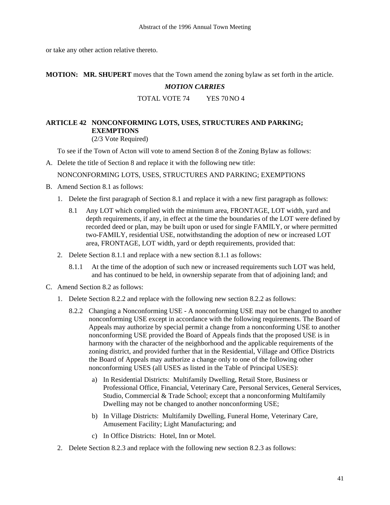or take any other action relative thereto.

**MOTION: MR. SHUPERT** moves that the Town amend the zoning bylaw as set forth in the article.

# *MOTION CARRIES*

TOTAL VOTE 74 YES 70 NO 4

# **ARTICLE 42 NONCONFORMING LOTS, USES, STRUCTURES AND PARKING; EXEMPTIONS**

(2/3 Vote Required)

To see if the Town of Acton will vote to amend Section 8 of the Zoning Bylaw as follows:

A. Delete the title of Section 8 and replace it with the following new title: NONCONFORMING LOTS, USES, STRUCTURES AND PARKING; EXEMPTIONS

- B. Amend Section 8.1 as follows:
	- 1. Delete the first paragraph of Section 8.1 and replace it with a new first paragraph as follows:
		- 8.1 Any LOT which complied with the minimum area, FRONTAGE, LOT width, yard and depth requirements, if any, in effect at the time the boundaries of the LOT were defined by recorded deed or plan, may be built upon or used for single FAMILY, or where permitted two-FAMILY, residential USE, notwithstanding the adoption of new or increased LOT area, FRONTAGE, LOT width, yard or depth requirements, provided that:
	- 2. Delete Section 8.1.1 and replace with a new section 8.1.1 as follows:
		- 8.1.1 At the time of the adoption of such new or increased requirements such LOT was held, and has continued to be held, in ownership separate from that of adjoining land; and
- C. Amend Section 8.2 as follows:
	- 1. Delete Section 8.2.2 and replace with the following new section 8.2.2 as follows:
		- 8.2.2 Changing a Nonconforming USE A nonconforming USE may not be changed to another nonconforming USE except in accordance with the following requirements. The Board of Appeals may authorize by special permit a change from a nonconforming USE to another nonconforming USE provided the Board of Appeals finds that the proposed USE is in harmony with the character of the neighborhood and the applicable requirements of the zoning district, and provided further that in the Residential, Village and Office Districts the Board of Appeals may authorize a change only to one of the following other nonconforming USES (all USES as listed in the Table of Principal USES):
			- a) In Residential Districts: Multifamily Dwelling, Retail Store, Business or Professional Office, Financial, Veterinary Care, Personal Services, General Services, Studio, Commercial & Trade School; except that a nonconforming Multifamily Dwelling may not be changed to another nonconforming USE;
			- b) In Village Districts: Multifamily Dwelling, Funeral Home, Veterinary Care, Amusement Facility; Light Manufacturing; and
			- c) In Office Districts: Hotel, Inn or Motel.
	- 2. Delete Section 8.2.3 and replace with the following new section 8.2.3 as follows: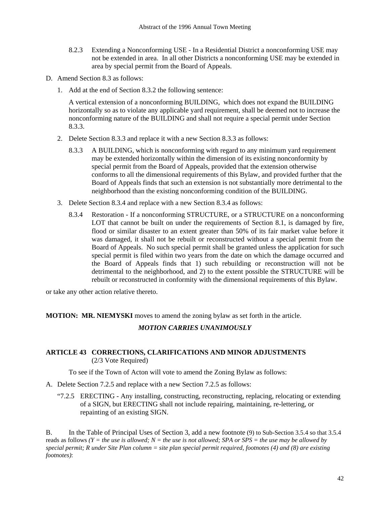- 8.2.3 Extending a Nonconforming USE In a Residential District a nonconforming USE may not be extended in area. In all other Districts a nonconforming USE may be extended in area by special permit from the Board of Appeals.
- D. Amend Section 8.3 as follows:
	- 1. Add at the end of Section 8.3.2 the following sentence:

 A vertical extension of a nonconforming BUILDING, which does not expand the BUILDING horizontally so as to violate any applicable yard requirement, shall be deemed not to increase the nonconforming nature of the BUILDING and shall not require a special permit under Section 8.3.3.

- 2. Delete Section 8.3.3 and replace it with a new Section 8.3.3 as follows:
	- 8.3.3 A BUILDING, which is nonconforming with regard to any minimum yard requirement may be extended horizontally within the dimension of its existing nonconformity by special permit from the Board of Appeals, provided that the extension otherwise conforms to all the dimensional requirements of this Bylaw, and provided further that the Board of Appeals finds that such an extension is not substantially more detrimental to the neighborhood than the existing nonconforming condition of the BUILDING.
- 3. Delete Section 8.3.4 and replace with a new Section 8.3.4 as follows:
	- 8.3.4 Restoration If a nonconforming STRUCTURE, or a STRUCTURE on a nonconforming LOT that cannot be built on under the requirements of Section 8.1, is damaged by fire, flood or similar disaster to an extent greater than 50% of its fair market value before it was damaged, it shall not be rebuilt or reconstructed without a special permit from the Board of Appeals. No such special permit shall be granted unless the application for such special permit is filed within two years from the date on which the damage occurred and the Board of Appeals finds that 1) such rebuilding or reconstruction will not be detrimental to the neighborhood, and 2) to the extent possible the STRUCTURE will be rebuilt or reconstructed in conformity with the dimensional requirements of this Bylaw.

or take any other action relative thereto.

**MOTION: MR. NIEMYSKI** moves to amend the zoning bylaw as set forth in the article.

# *MOTION CARRIES UNANIMOUSLY*

# **ARTICLE 43 CORRECTIONS, CLARIFICATIONS AND MINOR ADJUSTMENTS**  (2/3 Vote Required)

To see if the Town of Acton will vote to amend the Zoning Bylaw as follows:

- A. Delete Section 7.2.5 and replace with a new Section 7.2.5 as follows:
	- "7.2.5 ERECTING Any installing, constructing, reconstructing, replacing, relocating or extending of a SIGN, but ERECTING shall not include repairing, maintaining, re-lettering, or repainting of an existing SIGN.

B. In the Table of Principal Uses of Section 3, add a new footnote (9) to Sub-Section 3.5.4 so that 3.5.4 reads as follows  $(Y = the use is allowed; N = the use is not allowed; SPA or SPS = the use may be allowed by$ *special permit; R under Site Plan column = site plan special permit required, footnotes (4) and (8) are existing footnotes)*: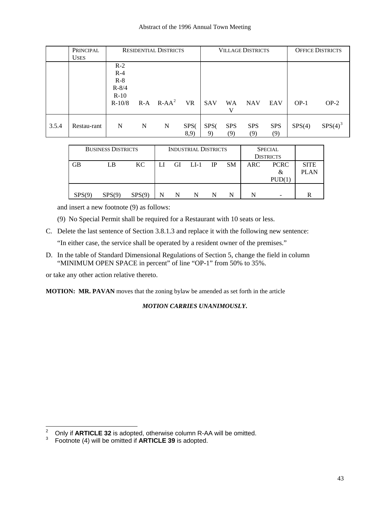#### Abstract of the 1996 Annual Town Meeting

|       | PRINCIPAL<br><b>USES</b> | <b>RESIDENTIAL DISTRICTS</b>                               |       |          | <b>VILLAGE DISTRICTS</b> |                        |                   |                   | <b>OFFICE DISTRICTS</b> |        |                     |
|-------|--------------------------|------------------------------------------------------------|-------|----------|--------------------------|------------------------|-------------------|-------------------|-------------------------|--------|---------------------|
|       |                          | $R-2$<br>$R-4$<br>$R-8$<br>$R - 8/4$<br>$R-10$<br>$R-10/8$ | $R-A$ | $R-AA^2$ | <b>VR</b>                | <b>SAV</b>             | <b>WA</b><br>v    | <b>NAV</b>        | EAV                     | $OP-1$ | $OP-2$              |
| 3.5.4 | Restau-rant              | N                                                          | N     | N        | SPS <sub>(</sub><br>8,9) | SPS <sub>(</sub><br>9) | <b>SPS</b><br>(9) | <b>SPS</b><br>(9) | <b>SPS</b><br>(9)       | SPS(4) | SPS(4) <sup>3</sup> |

| <b>BUSINESS DISTRICTS</b> |        |        | <b>INDUSTRIAL DISTRICTS</b> |    |      |      |           | <b>SPECIAL</b><br><b>DISTRICTS</b> |                            |                            |
|---------------------------|--------|--------|-----------------------------|----|------|------|-----------|------------------------------------|----------------------------|----------------------------|
| <b>GB</b>                 | LB     | KC.    | LI                          | GI | LI-1 | - IP | <b>SM</b> | <b>ARC</b>                         | <b>PCRC</b><br>&<br>PUD(1) | <b>SITE</b><br><b>PLAN</b> |
| SPS(9)                    | SPS(9) | SPS(9) |                             | N  | N    | N    | N         | N                                  |                            | R                          |

and insert a new footnote (9) as follows:

- (9) No Special Permit shall be required for a Restaurant with 10 seats or less.
- C. Delete the last sentence of Section 3.8.1.3 and replace it with the following new sentence:

"In either case, the service shall be operated by a resident owner of the premises."

D. In the table of Standard Dimensional Regulations of Section 5, change the field in column "MINIMUM OPEN SPACE in percent" of line "OP-1" from 50% to 35%.

or take any other action relative thereto.

**MOTION: MR. PAVAN** moves that the zoning bylaw be amended as set forth in the article

# *MOTION CARRIES UNANIMOUSLY***.**

 $\frac{1}{2}$ Only if **ARTICLE 32** is adopted, otherwise column R-AA will be omitted.

<span id="page-42-1"></span><span id="page-42-0"></span><sup>3</sup> Footnote (4) will be omitted if **ARTICLE 39** is adopted.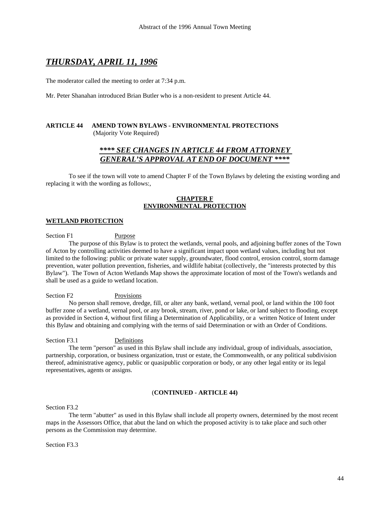# *THURSDAY, APRIL 11, 1996*

The moderator called the meeting to order at 7:34 p.m.

Mr. Peter Shanahan introduced Brian Butler who is a non-resident to present Article 44.

#### **ARTICLE 44 AMEND TOWN BYLAWS - ENVIRONMENTAL PROTECTIONS**  (Majority Vote Required)

# *\*\*\*\* SEE CHANGES IN ARTICLE 44 FROM ATTORNEY GENERAL'S APPROVAL AT END OF DOCUMENT \*\*\*\**

To see if the town will vote to amend Chapter F of the Town Bylaws by deleting the existing wording and replacing it with the wording as follows:,

#### **CHAPTER F ENVIRONMENTAL PROTECTION**

#### **WETLAND PROTECTION**

Section F1 Purpose

 The purpose of this Bylaw is to protect the wetlands, vernal pools, and adjoining buffer zones of the Town of Acton by controlling activities deemed to have a significant impact upon wetland values, including but not limited to the following: public or private water supply, groundwater, flood control, erosion control, storm damage prevention, water pollution prevention, fisheries, and wildlife habitat (collectively, the "interests protected by this Bylaw"). The Town of Acton Wetlands Map shows the approximate location of most of the Town's wetlands and shall be used as a guide to wetland location.

Section F2 Provisions

 No person shall remove, dredge, fill, or alter any bank, wetland, vernal pool, or land within the 100 foot buffer zone of a wetland, vernal pool, or any brook, stream, river, pond or lake, or land subject to flooding, except as provided in Section 4, without first filing a Determination of Applicability, or a written Notice of Intent under this Bylaw and obtaining and complying with the terms of said Determination or with an Order of Conditions.

Section F3.1 Definitions

 The term "person" as used in this Bylaw shall include any individual, group of individuals, association, partnership, corporation, or business organization, trust or estate, the Commonwealth, or any political subdivision thereof, administrative agency, public or quasipublic corporation or body, or any other legal entity or its legal representatives, agents or assigns.

#### (**CONTINUED - ARTICLE 44)**

Section F3.2

 The term "abutter" as used in this Bylaw shall include all property owners, determined by the most recent maps in the Assessors Office, that abut the land on which the proposed activity is to take place and such other persons as the Commission may determine.

Section F3.3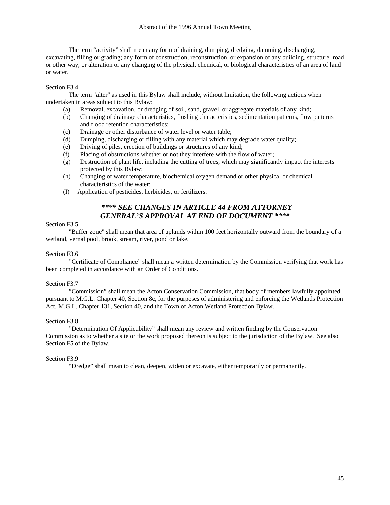The term "activity" shall mean any form of draining, dumping, dredging, damming, discharging, excavating, filling or grading; any form of construction, reconstruction, or expansion of any building, structure, road or other way; or alteration or any changing of the physical, chemical, or biological characteristics of an area of land or water.

# Section F3.4

 The term "alter" as used in this Bylaw shall include, without limitation, the following actions when undertaken in areas subject to this Bylaw:

- (a) Removal, excavation, or dredging of soil, sand, gravel, or aggregate materials of any kind;
- (b) Changing of drainage characteristics, flushing characteristics, sedimentation patterns, flow patterns and flood retention characteristics;
- (c) Drainage or other disturbance of water level or water table;
- (d) Dumping, discharging or filling with any material which may degrade water quality;
- (e) Driving of piles, erection of buildings or structures of any kind;
- (f) Placing of obstructions whether or not they interfere with the flow of water;
- (g) Destruction of plant life, including the cutting of trees, which may significantly impact the interests protected by this Bylaw;
- (h) Changing of water temperature, biochemical oxygen demand or other physical or chemical characteristics of the water;
- (I) Application of pesticides, herbicides, or fertilizers.

# *\*\*\*\* SEE CHANGES IN ARTICLE 44 FROM ATTORNEY GENERAL'S APPROVAL AT END OF DOCUMENT \*\*\*\**

# Section F3.5

 "Buffer zone" shall mean that area of uplands within 100 feet horizontally outward from the boundary of a wetland, vernal pool, brook, stream, river, pond or lake.

# Section F3.6

"Certificate of Compliance" shall mean a written determination by the Commission verifying that work has been completed in accordance with an Order of Conditions.

# Section F3.7

 "Commission" shall mean the Acton Conservation Commission, that body of members lawfully appointed pursuant to M.G.L. Chapter 40, Section 8c, for the purposes of administering and enforcing the Wetlands Protection Act, M.G.L. Chapter 131, Section 40, and the Town of Acton Wetland Protection Bylaw.

#### Section F3.8

 "Determination Of Applicability" shall mean any review and written finding by the Conservation Commission as to whether a site or the work proposed thereon is subject to the jurisdiction of the Bylaw. See also Section F5 of the Bylaw.

#### Section F3.9

"Dredge" shall mean to clean, deepen, widen or excavate, either temporarily or permanently.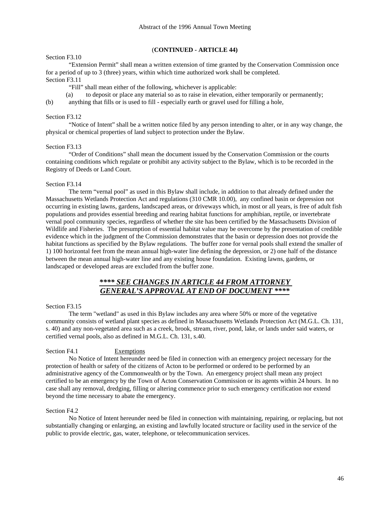#### Section F3.10

# (**CONTINUED - ARTICLE 44)**

 "Extension Permit" shall mean a written extension of time granted by the Conservation Commission once for a period of up to 3 (three) years, within which time authorized work shall be completed. Section F3.11

"Fill" shall mean either of the following, whichever is applicable:

(a) to deposit or place any material so as to raise in elevation, either temporarily or permanently;

(b) anything that fills or is used to fill - especially earth or gravel used for filling a hole,

#### Section F3.12

 "Notice of Intent" shall be a written notice filed by any person intending to alter, or in any way change, the physical or chemical properties of land subject to protection under the Bylaw.

#### Section F3.13

 "Order of Conditions" shall mean the document issued by the Conservation Commission or the courts containing conditions which regulate or prohibit any activity subject to the Bylaw, which is to be recorded in the Registry of Deeds or Land Court.

#### Section F3.14

 The term "vernal pool" as used in this Bylaw shall include, in addition to that already defined under the Massachusetts Wetlands Protection Act and regulations (310 CMR 10.00), any confined basin or depression not occurring in existing lawns, gardens, landscaped areas, or driveways which, in most or all years, is free of adult fish populations and provides essential breeding and rearing habitat functions for amphibian, reptile, or invertebrate vernal pool community species, regardless of whether the site has been certified by the Massachusetts Division of Wildlife and Fisheries. The presumption of essential habitat value may be overcome by the presentation of credible evidence which in the judgment of the Commission demonstrates that the basin or depression does not provide the habitat functions as specified by the Bylaw regulations. The buffer zone for vernal pools shall extend the smaller of 1) 100 horizontal feet from the mean annual high-water line defining the depression, or 2) one half of the distance between the mean annual high-water line and any existing house foundation. Existing lawns, gardens, or landscaped or developed areas are excluded from the buffer zone.

# *\*\*\*\* SEE CHANGES IN ARTICLE 44 FROM ATTORNEY GENERAL'S APPROVAL AT END OF DOCUMENT \*\*\*\**

#### Section F3.15

 The term "wetland" as used in this Bylaw includes any area where 50% or more of the vegetative community consists of wetland plant species as defined in Massachusetts Wetlands Protection Act (M.G.L. Ch. 131, s. 40) and any non-vegetated area such as a creek, brook, stream, river, pond, lake, or lands under said waters, or certified vernal pools, also as defined in M.G.L. Ch. 131, s.40.

#### Section F4.1 Exemptions

 No Notice of Intent hereunder need be filed in connection with an emergency project necessary for the protection of health or safety of the citizens of Acton to be performed or ordered to be performed by an administrative agency of the Commonwealth or by the Town. An emergency project shall mean any project certified to be an emergency by the Town of Acton Conservation Commission or its agents within 24 hours. In no case shall any removal, dredging, filling or altering commence prior to such emergency certification nor extend beyond the time necessary to abate the emergency.

#### Section F4.2

 No Notice of Intent hereunder need be filed in connection with maintaining, repairing, or replacing, but not substantially changing or enlarging, an existing and lawfully located structure or facility used in the service of the public to provide electric, gas, water, telephone, or telecommunication services.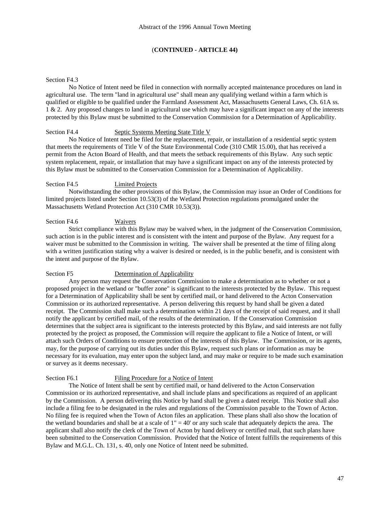#### Section F<sub>4</sub>3

 No Notice of Intent need be filed in connection with normally accepted maintenance procedures on land in agricultural use. The term "land in agricultural use" shall mean any qualifying wetland within a farm which is qualified or eligible to be qualified under the Farmland Assessment Act, Massachusetts General Laws, Ch. 61A ss. 1 & 2. Any proposed changes to land in agricultural use which may have a significant impact on any of the interests protected by this Bylaw must be submitted to the Conservation Commission for a Determination of Applicability.

#### Section F4.4 Septic Systems Meeting State Title V

 No Notice of Intent need be filed for the replacement, repair, or installation of a residential septic system that meets the requirements of Title V of the State Environmental Code (310 CMR 15.00), that has received a permit from the Acton Board of Health, and that meets the setback requirements of this Bylaw. Any such septic system replacement, repair, or installation that may have a significant impact on any of the interests protected by this Bylaw must be submitted to the Conservation Commission for a Determination of Applicability.

#### Section F4.5 Limited Projects

 Notwithstanding the other provisions of this Bylaw, the Commission may issue an Order of Conditions for limited projects listed under Section 10.53(3) of the Wetland Protection regulations promulgated under the Massachusetts Wetland Protection Act (310 CMR 10.53(3)).

#### Section F4.6 Waivers

 Strict compliance with this Bylaw may be waived when, in the judgment of the Conservation Commission, such action is in the public interest and is consistent with the intent and purpose of the Bylaw. Any request for a waiver must be submitted to the Commission in writing. The waiver shall be presented at the time of filing along with a written justification stating why a waiver is desired or needed, is in the public benefit, and is consistent with the intent and purpose of the Bylaw.

#### Section F5 Determination of Applicability

 Any person may request the Conservation Commission to make a determination as to whether or not a proposed project in the wetland or "buffer zone" is significant to the interests protected by the Bylaw. This request for a Determination of Applicability shall be sent by certified mail, or hand delivered to the Acton Conservation Commission or its authorized representative. A person delivering this request by hand shall be given a dated receipt. The Commission shall make such a determination within 21 days of the receipt of said request, and it shall notify the applicant by certified mail, of the results of the determination. If the Conservation Commission determines that the subject area is significant to the interests protected by this Bylaw, and said interests are not fully protected by the project as proposed, the Commission will require the applicant to file a Notice of Intent, or will attach such Orders of Conditions to ensure protection of the interests of this Bylaw. The Commission, or its agents, may, for the purpose of carrying out its duties under this Bylaw, request such plans or information as may be necessary for its evaluation, may enter upon the subject land, and may make or require to be made such examination or survey as it deems necessary.

### Section F6.1 Filing Procedure for a Notice of Intent

 The Notice of Intent shall be sent by certified mail, or hand delivered to the Acton Conservation Commission or its authorized representative, and shall include plans and specifications as required of an applicant by the Commission. A person delivering this Notice by hand shall be given a dated receipt. This Notice shall also include a filing fee to be designated in the rules and regulations of the Commission payable to the Town of Acton. No filing fee is required when the Town of Acton files an application. These plans shall also show the location of the wetland boundaries and shall be at a scale of  $1'' = 40'$  or any such scale that adequately depicts the area. The applicant shall also notify the clerk of the Town of Acton by hand delivery or certified mail, that such plans have been submitted to the Conservation Commission. Provided that the Notice of Intent fulfills the requirements of this Bylaw and M.G.L. Ch. 131, s. 40, only one Notice of Intent need be submitted.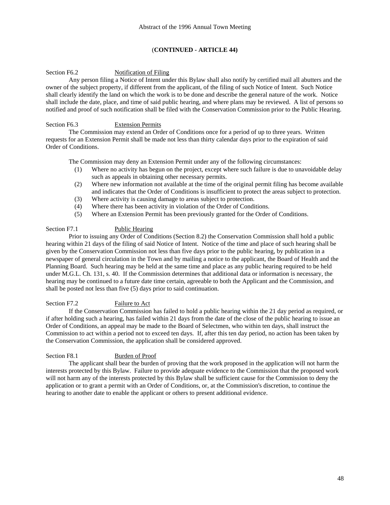#### Section F6.2 Notification of Filing

 Any person filing a Notice of Intent under this Bylaw shall also notify by certified mail all abutters and the owner of the subject property, if different from the applicant, of the filing of such Notice of Intent. Such Notice shall clearly identify the land on which the work is to be done and describe the general nature of the work. Notice shall include the date, place, and time of said public hearing, and where plans may be reviewed. A list of persons so notified and proof of such notification shall be filed with the Conservation Commission prior to the Public Hearing.

#### Section F6.3 Extension Permits

 The Commission may extend an Order of Conditions once for a period of up to three years. Written requests for an Extension Permit shall be made not less than thirty calendar days prior to the expiration of said Order of Conditions.

The Commission may deny an Extension Permit under any of the following circumstances:

- (1) Where no activity has begun on the project, except where such failure is due to unavoidable delay such as appeals in obtaining other necessary permits.
- (2) Where new information not available at the time of the original permit filing has become available and indicates that the Order of Conditions is insufficient to protect the areas subject to protection.
- (3) Where activity is causing damage to areas subject to protection.
- (4) Where there has been activity in violation of the Order of Conditions.
- (5) Where an Extension Permit has been previously granted for the Order of Conditions.

#### Section F7.1 Public Hearing

 Prior to issuing any Order of Conditions (Section 8.2) the Conservation Commission shall hold a public hearing within 21 days of the filing of said Notice of Intent. Notice of the time and place of such hearing shall be given by the Conservation Commission not less than five days prior to the public hearing, by publication in a newspaper of general circulation in the Town and by mailing a notice to the applicant, the Board of Health and the Planning Board. Such hearing may be held at the same time and place as any public hearing required to be held under M.G.L. Ch. 131, s. 40. If the Commission determines that additional data or information is necessary, the hearing may be continued to a future date time certain, agreeable to both the Applicant and the Commission, and shall be posted not less than five (5) days prior to said continuation.

# Section F7.2 Failure to Act

 If the Conservation Commission has failed to hold a public hearing within the 21 day period as required, or if after holding such a hearing, has failed within 21 days from the date of the close of the public hearing to issue an Order of Conditions, an appeal may be made to the Board of Selectmen, who within ten days, shall instruct the Commission to act within a period not to exceed ten days. If, after this ten day period, no action has been taken by the Conservation Commission, the application shall be considered approved.

#### Section F8.1 Burden of Proof

 The applicant shall bear the burden of proving that the work proposed in the application will not harm the interests protected by this Bylaw. Failure to provide adequate evidence to the Commission that the proposed work will not harm any of the interests protected by this Bylaw shall be sufficient cause for the Commission to deny the application or to grant a permit with an Order of Conditions, or, at the Commission's discretion, to continue the hearing to another date to enable the applicant or others to present additional evidence.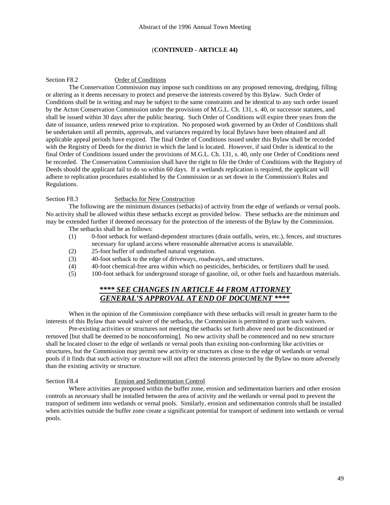#### Section F8.2 Order of Conditions

 The Conservation Commission may impose such conditions on any proposed removing, dredging, filling or altering as it deems necessary to protect and preserve the interests covered by this Bylaw. Such Order of Conditions shall be in writing and may be subject to the same constraints and be identical to any such order issued by the Acton Conservation Commission under the provisions of M.G.L. Ch. 131, s. 40, or successor statutes, and shall be issued within 30 days after the public hearing. Such Order of Conditions will expire three years from the date of issuance, unless renewed prior to expiration. No proposed work governed by an Order of Conditions shall be undertaken until all permits, approvals, and variances required by local Bylaws have been obtained and all applicable appeal periods have expired. The final Order of Conditions issued under this Bylaw shall be recorded with the Registry of Deeds for the district in which the land is located. However, if said Order is identical to the final Order of Conditions issued under the provisions of M.G.L. Ch. 131, s. 40, only one Order of Conditions need be recorded. The Conservation Commission shall have the right to file the Order of Conditions with the Registry of Deeds should the applicant fail to do so within 60 days. If a wetlands replication is required, the applicant will adhere to replication procedures established by the Commission or as set down in the Commission's Rules and Regulations.

#### Section F8.3 Setbacks for New Construction

 The following are the minimum distances (setbacks) of activity from the edge of wetlands or vernal pools. No activity shall be allowed within these setbacks except as provided below. These setbacks are the minimum and may be extended further if deemed necessary for the protection of the interests of the Bylaw by the Commission. The setbacks shall be as follows:

- (1) 0-foot setback for wetland-dependent structures (drain outfalls, weirs, etc.), fences, and structures necessary for upland access where reasonable alternative access is unavailable.
- (2) 25-foot buffer of undisturbed natural vegetation.
- (3) 40-foot setback to the edge of driveways, roadways, and structures.
- (4) 40-foot chemical-free area within which no pesticides, herbicides, or fertilizers shall be used.
- (5) 100-foot setback for underground storage of gasoline, oil, or other fuels and hazardous materials.

# *\*\*\*\* SEE CHANGES IN ARTICLE 44 FROM ATTORNEY GENERAL'S APPROVAL AT END OF DOCUMENT \*\*\*\**

 When in the opinion of the Commission compliance with these setbacks will result in greater harm to the interests of this Bylaw than would waiver of the setbacks, the Commission is permitted to grant such waivers.

 Pre-existing activities or structures not meeting the setbacks set forth above need not be discontinued or removed [but shall be deemed to be nonconforming]. No new activity shall be commenced and no new structure shall be located closer to the edge of wetlands or vernal pools than existing non-conforming like activities or structures, but the Commission may permit new activity or structures as close to the edge of wetlands or vernal pools if it finds that such activity or structure will not affect the interests protected by the Bylaw no more adversely than the existing activity or structure.

#### Section F8.4 Erosion and Sedimentation Control

 Where activities are proposed within the buffer zone, erosion and sedimentation barriers and other erosion controls as necessary shall be installed between the area of activity and the wetlands or vernal pool to prevent the transport of sediment into wetlands or vernal pools. Similarly, erosion and sedimentation controls shall be installed when activities outside the buffer zone create a significant potential for transport of sediment into wetlands or vernal pools.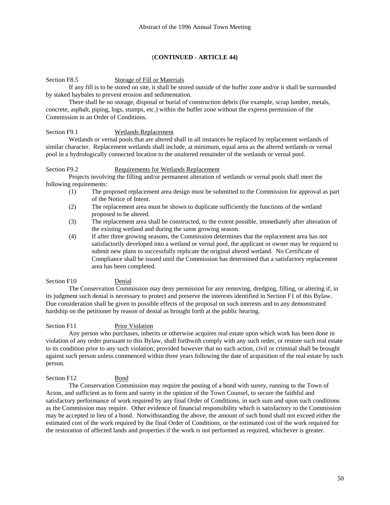#### Section F8.5 Storage of Fill or Materials

 If any fill is to be stored on site, it shall be stored outside of the buffer zone and/or it shall be surrounded by staked haybales to prevent erosion and sedimentation.

 There shall be no storage, disposal or burial of construction debris (for example, scrap lumber, metals, concrete, asphalt, piping, logs, stumps, etc.) within the buffer zone without the express permission of the Commission in an Order of Conditions.

#### Section F9.1 Wetlands Replacement

 Wetlands or vernal pools that are altered shall in all instances be replaced by replacement wetlands of similar character. Replacement wetlands shall include, at minimum, equal area as the altered wetlands or vernal pool in a hydrologically connected location to the unaltered remainder of the wetlands or vernal pool.

#### Section F9.2 Requirements for Wetlands Replacement

 Projects involving the filling and/or permanent alteration of wetlands or vernal pools shall meet the following requirements:

- (1) The proposed replacement area design must be submitted to the Commission for approval as part of the Notice of Intent.
- (2) The replacement area must be shown to duplicate sufficiently the functions of the wetland proposed to be altered.
- (3) The replacement area shall be constructed, to the extent possible, immediately after alteration of the existing wetland and during the same growing season.
- (4) If after three growing seasons, the Commission determines that the replacement area has not satisfactorily developed into a wetland or vernal pool, the applicant or owner may be required to submit new plans to successfully replicate the original altered wetland. No Certificate of Compliance shall be issued until the Commission has determined that a satisfactory replacement area has been completed.

#### Section F10 Denial

 The Conservation Commission may deny permission for any removing, dredging, filling, or altering if, in its judgment such denial is necessary to protect and preserve the interests identified in Section F1 of this Bylaw. Due consideration shall be given to possible effects of the proposal on such interests and to any demonstrated hardship on the petitioner by reason of denial as brought forth at the public hearing.

#### Section F11 Prior Violation

 Any person who purchases, inherits or otherwise acquires real estate upon which work has been done in violation of any order pursuant to this Bylaw, shall forthwith comply with any such order, or restore such real estate to its condition prior to any such violation; provided however that no such action, civil or criminal shall be brought against such person unless commenced within three years following the date of acquisition of the real estate by such person.

#### Section F12 Bond

 The Conservation Commission may require the posting of a bond with surety, running to the Town of Acton, and sufficient as to form and surety in the opinion of the Town Counsel, to secure the faithful and satisfactory performance of work required by any final Order of Conditions, in such sum and upon such conditions as the Commission may require. Other evidence of financial responsibility which is satisfactory to the Commission may be accepted in lieu of a bond. Notwithstanding the above, the amount of such bond shall not exceed either the estimated cost of the work required by the final Order of Conditions, or the estimated cost of the work required for the restoration of affected lands and properties if the work is not performed as required, whichever is greater.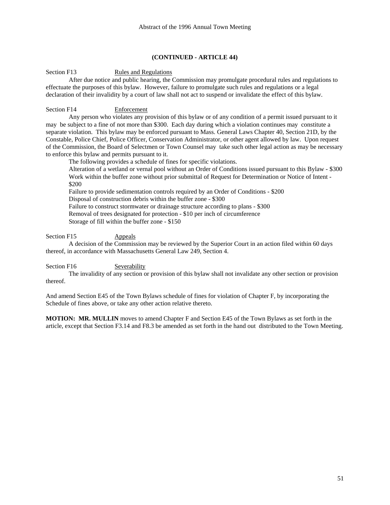#### Section F13 Rules and Regulations

 After due notice and public hearing, the Commission may promulgate procedural rules and regulations to effectuate the purposes of this bylaw. However, failure to promulgate such rules and regulations or a legal declaration of their invalidity by a court of law shall not act to suspend or invalidate the effect of this bylaw.

#### Section F14 Enforcement

 Any person who violates any provision of this bylaw or of any condition of a permit issued pursuant to it may be subject to a fine of not more than \$300. Each day during which a violation continues may constitute a separate violation. This bylaw may be enforced pursuant to Mass. General Laws Chapter 40, Section 21D, by the Constable, Police Chief, Police Officer, Conservation Administrator, or other agent allowed by law. Upon request of the Commission, the Board of Selectmen or Town Counsel may take such other legal action as may be necessary to enforce this bylaw and permits pursuant to it.

The following provides a schedule of fines for specific violations.

Alteration of a wetland or vernal pool without an Order of Conditions issued pursuant to this Bylaw - \$300 Work within the buffer zone without prior submittal of Request for Determination or Notice of Intent - \$200

Failure to provide sedimentation controls required by an Order of Conditions - \$200 Disposal of construction debris within the buffer zone - \$300 Failure to construct stormwater or drainage structure according to plans - \$300

Removal of trees designated for protection - \$10 per inch of circumference

Storage of fill within the buffer zone - \$150

#### Section F15 Appeals

 A decision of the Commission may be reviewed by the Superior Court in an action filed within 60 days thereof, in accordance with Massachusetts General Law 249, Section 4.

Section F16 Severability

 The invalidity of any section or provision of this bylaw shall not invalidate any other section or provision thereof.

And amend Section E45 of the Town Bylaws schedule of fines for violation of Chapter F, by incorporating the Schedule of fines above, or take any other action relative thereto.

**MOTION: MR. MULLIN** moves to amend Chapter F and Section E45 of the Town Bylaws as set forth in the article, except that Section F3.14 and F8.3 be amended as set forth in the hand out distributed to the Town Meeting.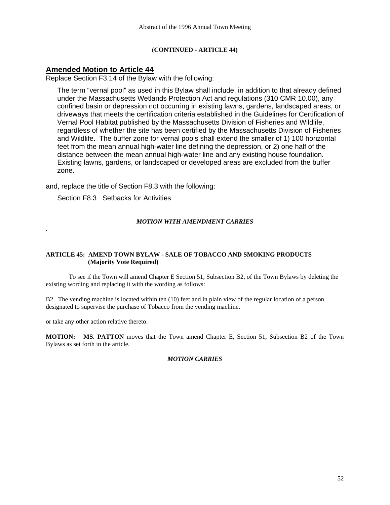# **Amended Motion to Article 44**

Replace Section F3.14 of the Bylaw with the following:

The term "vernal pool" as used in this Bylaw shall include, in addition to that already defined under the Massachusetts Wetlands Protection Act and regulations (310 CMR 10.00), any confined basin or depression not occurring in existing lawns, gardens, landscaped areas, or driveways that meets the certification criteria established in the Guidelines for Certification of Vernal Pool Habitat published by the Massachusetts Division of Fisheries and Wildlife, regardless of whether the site has been certified by the Massachusetts Division of Fisheries and Wildlife. The buffer zone for vernal pools shall extend the smaller of 1) 100 horizontal feet from the mean annual high-water line defining the depression, or 2) one half of the distance between the mean annual high-water line and any existing house foundation. Existing lawns, gardens, or landscaped or developed areas are excluded from the buffer zone.

and, replace the title of Section F8.3 with the following:

Section F8.3 Setbacks for Activities

# *MOTION WITH AMENDMENT CARRIES*

# **ARTICLE 45: AMEND TOWN BYLAW - SALE OF TOBACCO AND SMOKING PRODUCTS (Majority Vote Required)**

 To see if the Town will amend Chapter E Section 51, Subsection B2, of the Town Bylaws by deleting the existing wording and replacing it with the wording as follows:

B2. The vending machine is located within ten (10) feet and in plain view of the regular location of a person designated to supervise the purchase of Tobacco from the vending machine.

or take any other action relative thereto.

.

**MOTION: MS. PATTON** moves that the Town amend Chapter E, Section 51, Subsection B2 of the Town Bylaws as set forth in the article.

*MOTION CARRIES*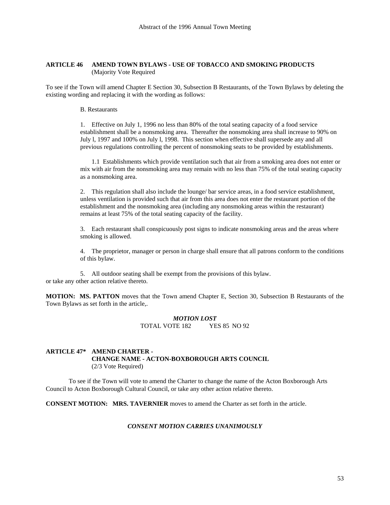#### **ARTICLE 46 AMEND TOWN BYLAWS - USE OF TOBACCO AND SMOKING PRODUCTS** (Majority Vote Required

To see if the Town will amend Chapter E Section 30, Subsection B Restaurants, of the Town Bylaws by deleting the existing wording and replacing it with the wording as follows:

#### B. Restaurants

1. Effective on July 1, 1996 no less than 80% of the total seating capacity of a food service establishment shall be a nonsmoking area. Thereafter the nonsmoking area shall increase to 90% on July l, 1997 and 100% on July l, 1998. This section when effective shall supersede any and all previous regulations controlling the percent of nonsmoking seats to be provided by establishments.

 1.1 Establishments which provide ventilation such that air from a smoking area does not enter or mix with air from the nonsmoking area may remain with no less than 75% of the total seating capacity as a nonsmoking area.

2. This regulation shall also include the lounge/ bar service areas, in a food service establishment, unless ventilation is provided such that air from this area does not enter the restaurant portion of the establishment and the nonsmoking area (including any nonsmoking areas within the restaurant) remains at least 75% of the total seating capacity of the facility.

3. Each restaurant shall conspicuously post signs to indicate nonsmoking areas and the areas where smoking is allowed.

4. The proprietor, manager or person in charge shall ensure that all patrons conform to the conditions of this bylaw.

5. All outdoor seating shall be exempt from the provisions of this bylaw. or take any other action relative thereto.

**MOTION: MS. PATTON** moves that the Town amend Chapter E, Section 30, Subsection B Restaurants of the Town Bylaws as set forth in the article,.

> *MOTION LOST*  TOTAL VOTE 182 YES 85 NO 92

### **ARTICLE 47\* AMEND CHARTER - CHANGE NAME - ACTON-BOXBOROUGH ARTS COUNCIL**  (2/3 Vote Required)

 To see if the Town will vote to amend the Charter to change the name of the Acton Boxborough Arts Council to Acton Boxborough Cultural Council, or take any other action relative thereto.

**CONSENT MOTION: MRS. TAVERNIER** moves to amend the Charter as set forth in the article.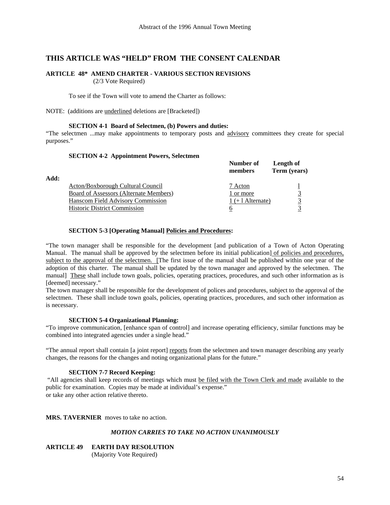# **THIS ARTICLE WAS "HELD" FROM THE CONSENT CALENDAR**

# **ARTICLE 48\* AMEND CHARTER - VARIOUS SECTION REVISIONS**

(2/3 Vote Required)

To see if the Town will vote to amend the Charter as follows:

NOTE: (additions are underlined deletions are [Bracketed])

#### **SECTION 4-1 Board of Selectmen, (b) Powers and duties:**

"The selectmen ...may make appointments to temporary posts and advisory committees they create for special purposes."

#### **SECTION 4-2 Appointment Powers, Selectmen**

|      |                                        | Number of<br>members | Length of<br>Term (years) |
|------|----------------------------------------|----------------------|---------------------------|
| Add: |                                        |                      |                           |
|      | Acton/Boxborough Cultural Council      | 7 Acton              |                           |
|      | Board of Assessors (Alternate Members) | 1 or more            |                           |
|      | Hanscom Field Advisory Commission      | $1 (+ 1$ Alternate)  |                           |
|      | <b>Historic District Commission</b>    | O                    |                           |

#### **SECTION 5-3 [Operating Manual] Policies and Procedures:**

"The town manager shall be responsible for the development [and publication of a Town of Acton Operating Manual. The manual shall be approved by the selectmen before its initial publication] of policies and procedures, subject to the approval of the selectmen. [The first issue of the manual shall be published within one year of the adoption of this charter. The manual shall be updated by the town manager and approved by the selectmen. The manual] These shall include town goals, policies, operating practices, procedures, and such other information as is [deemed] necessary."

The town manager shall be responsible for the development of polices and procedures, subject to the approval of the selectmen. These shall include town goals, policies, operating practices, procedures, and such other information as is necessary.

#### **SECTION 5-4 Organizational Planning:**

"To improve communication, [enhance span of control] and increase operating efficiency, similar functions may be combined into integrated agencies under a single head."

"The annual report shall contain [a joint report] reports from the selectmen and town manager describing any yearly changes, the reasons for the changes and noting organizational plans for the future."

#### **SECTION 7-7 Record Keeping:**

 "All agencies shall keep records of meetings which must be filed with the Town Clerk and made available to the public for examination. Copies may be made at individual's expense." or take any other action relative thereto.

**MRS. TAVERNIER** moves to take no action.

#### *MOTION CARRIES TO TAKE NO ACTION UNANIMOUSLY*

**ARTICLE 49 EARTH DAY RESOLUTION** (Majority Vote Required)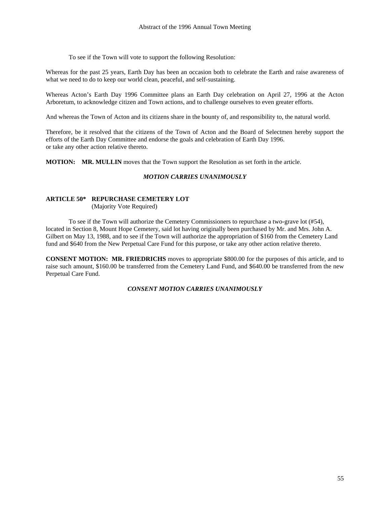To see if the Town will vote to support the following Resolution:

Whereas for the past 25 years, Earth Day has been an occasion both to celebrate the Earth and raise awareness of what we need to do to keep our world clean, peaceful, and self-sustaining.

Whereas Acton's Earth Day 1996 Committee plans an Earth Day celebration on April 27, 1996 at the Acton Arboretum, to acknowledge citizen and Town actions, and to challenge ourselves to even greater efforts.

And whereas the Town of Acton and its citizens share in the bounty of, and responsibility to, the natural world.

Therefore, be it resolved that the citizens of the Town of Acton and the Board of Selectmen hereby support the efforts of the Earth Day Committee and endorse the goals and celebration of Earth Day 1996. or take any other action relative thereto.

**MOTION: MR. MULLIN** moves that the Town support the Resolution as set forth in the article.

#### *MOTION CARRIES UNANIMOUSLY*

#### **ARTICLE 50\* REPURCHASE CEMETERY LOT**

(Majority Vote Required)

 To see if the Town will authorize the Cemetery Commissioners to repurchase a two-grave lot (#54), located in Section 8, Mount Hope Cemetery, said lot having originally been purchased by Mr. and Mrs. John A. Gilbert on May 13, 1988, and to see if the Town will authorize the appropriation of \$160 from the Cemetery Land fund and \$640 from the New Perpetual Care Fund for this purpose, or take any other action relative thereto.

**CONSENT MOTION: MR. FRIEDRICHS** moves to appropriate \$800.00 for the purposes of this article, and to raise such amount, \$160.00 be transferred from the Cemetery Land Fund, and \$640.00 be transferred from the new Perpetual Care Fund.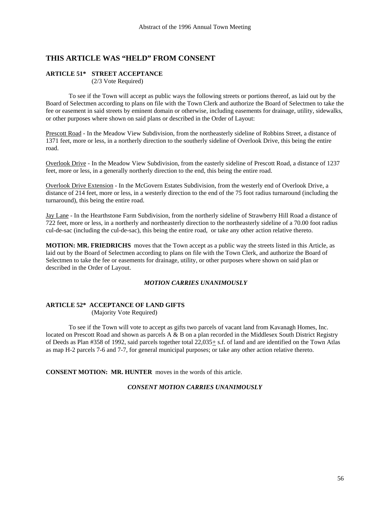# **THIS ARTICLE WAS "HELD" FROM CONSENT**

# **ARTICLE 51\* STREET ACCEPTANCE**

(2/3 Vote Required)

 To see if the Town will accept as public ways the following streets or portions thereof, as laid out by the Board of Selectmen according to plans on file with the Town Clerk and authorize the Board of Selectmen to take the fee or easement in said streets by eminent domain or otherwise, including easements for drainage, utility, sidewalks, or other purposes where shown on said plans or described in the Order of Layout:

Prescott Road - In the Meadow View Subdivision, from the northeasterly sideline of Robbins Street, a distance of 1371 feet, more or less, in a northerly direction to the southerly sideline of Overlook Drive, this being the entire road.

Overlook Drive - In the Meadow View Subdivision, from the easterly sideline of Prescott Road, a distance of 1237 feet, more or less, in a generally northerly direction to the end, this being the entire road.

Overlook Drive Extension - In the McGovern Estates Subdivision, from the westerly end of Overlook Drive, a distance of 214 feet, more or less, in a westerly direction to the end of the 75 foot radius turnaround (including the turnaround), this being the entire road.

Jay Lane - In the Hearthstone Farm Subdivision, from the northerly sideline of Strawberry Hill Road a distance of 722 feet, more or less, in a northerly and northeasterly direction to the northeasterly sideline of a 70.00 foot radius cul-de-sac (including the cul-de-sac), this being the entire road, or take any other action relative thereto.

**MOTION: MR. FRIEDRICHS** moves that the Town accept as a public way the streets listed in this Article, as laid out by the Board of Selectmen according to plans on file with the Town Clerk, and authorize the Board of Selectmen to take the fee or easements for drainage, utility, or other purposes where shown on said plan or described in the Order of Layout.

#### *MOTION CARRIES UNANIMOUSLY*

# **ARTICLE 52\* ACCEPTANCE OF LAND GIFTS**

(Majority Vote Required)

 To see if the Town will vote to accept as gifts two parcels of vacant land from Kavanagh Homes, Inc. located on Prescott Road and shown as parcels  $A \& B$  on a plan recorded in the Middlesex South District Registry of Deeds as Plan #358 of 1992, said parcels together total  $22,035+$  s.f. of land and are identified on the Town Atlas as map H-2 parcels 7-6 and 7-7, for general municipal purposes; or take any other action relative thereto.

**CONSENT MOTION: MR. HUNTER** moves in the words of this article.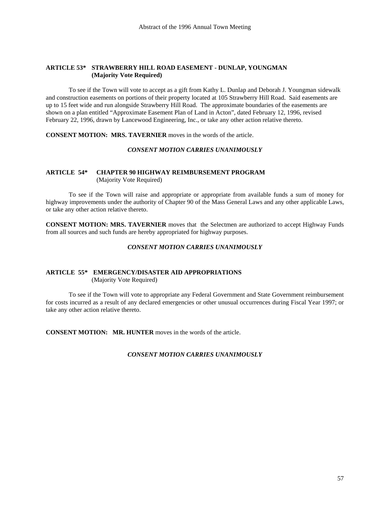#### **ARTICLE 53\* STRAWBERRY HILL ROAD EASEMENT - DUNLAP, YOUNGMAN (Majority Vote Required)**

 To see if the Town will vote to accept as a gift from Kathy L. Dunlap and Deborah J. Youngman sidewalk and construction easements on portions of their property located at 105 Strawberry Hill Road. Said easements are up to 15 feet wide and run alongside Strawberry Hill Road. The approximate boundaries of the easements are shown on a plan entitled "Approximate Easement Plan of Land in Acton", dated February 12, 1996, revised February 22, 1996, drawn by Lancewood Engineering, Inc., or take any other action relative thereto.

**CONSENT MOTION: MRS. TAVERNIER** moves in the words of the article.

#### *CONSENT MOTION CARRIES UNANIMOUSLY*

# **ARTICLE 54\* CHAPTER 90 HIGHWAY REIMBURSEMENT PROGRAM** (Majority Vote Required)

 To see if the Town will raise and appropriate or appropriate from available funds a sum of money for highway improvements under the authority of Chapter 90 of the Mass General Laws and any other applicable Laws, or take any other action relative thereto.

**CONSENT MOTION: MRS. TAVERNIER** moves that the Selectmen are authorized to accept Highway Funds from all sources and such funds are hereby appropriated for highway purposes.

# *CONSENT MOTION CARRIES UNANIMOUSLY*

# **ARTICLE 55\* EMERGENCY/DISASTER AID APPROPRIATIONS**

(Majority Vote Required)

 To see if the Town will vote to appropriate any Federal Government and State Government reimbursement for costs incurred as a result of any declared emergencies or other unusual occurrences during Fiscal Year 1997; or take any other action relative thereto.

**CONSENT MOTION: MR. HUNTER** moves in the words of the article.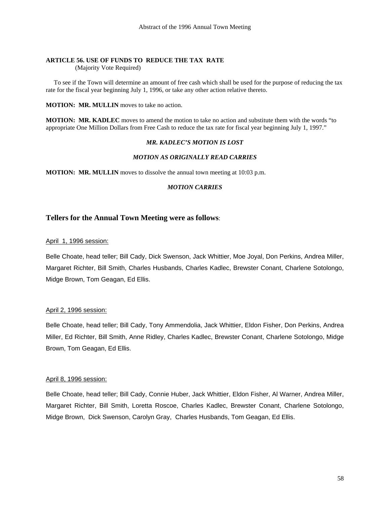# **ARTICLE 56. USE OF FUNDS TO REDUCE THE TAX RATE**

(Majority Vote Required)

 To see if the Town will determine an amount of free cash which shall be used for the purpose of reducing the tax rate for the fiscal year beginning July 1, 1996, or take any other action relative thereto.

**MOTION: MR. MULLIN** moves to take no action.

**MOTION: MR. KADLEC** moves to amend the motion to take no action and substitute them with the words "to appropriate One Million Dollars from Free Cash to reduce the tax rate for fiscal year beginning July 1, 1997."

#### *MR. KADLEC'S MOTION IS LOST*

### *MOTION AS ORIGINALLY READ CARRIES*

**MOTION: MR. MULLIN** moves to dissolve the annual town meeting at 10:03 p.m.

#### *MOTION CARRIES*

# **Tellers for the Annual Town Meeting were as follows**:

#### April 1, 1996 session:

Belle Choate, head teller; Bill Cady, Dick Swenson, Jack Whittier, Moe Joyal, Don Perkins, Andrea Miller, Margaret Richter, Bill Smith, Charles Husbands, Charles Kadlec, Brewster Conant, Charlene Sotolongo, Midge Brown, Tom Geagan, Ed Ellis.

#### April 2, 1996 session:

Belle Choate, head teller; Bill Cady, Tony Ammendolia, Jack Whittier, Eldon Fisher, Don Perkins, Andrea Miller, Ed Richter, Bill Smith, Anne Ridley, Charles Kadlec, Brewster Conant, Charlene Sotolongo, Midge Brown, Tom Geagan, Ed Ellis.

#### April 8, 1996 session:

Belle Choate, head teller; Bill Cady, Connie Huber, Jack Whittier, Eldon Fisher, Al Warner, Andrea Miller, Margaret Richter, Bill Smith, Loretta Roscoe, Charles Kadlec, Brewster Conant, Charlene Sotolongo, Midge Brown, Dick Swenson, Carolyn Gray, Charles Husbands, Tom Geagan, Ed Ellis.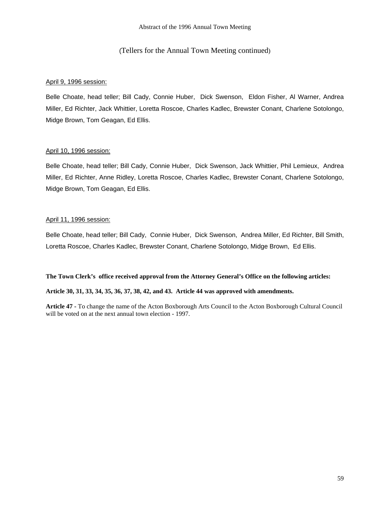# (Tellers for the Annual Town Meeting continued)

# April 9, 1996 session:

Belle Choate, head teller; Bill Cady, Connie Huber, Dick Swenson, Eldon Fisher, Al Warner, Andrea Miller, Ed Richter, Jack Whittier, Loretta Roscoe, Charles Kadlec, Brewster Conant, Charlene Sotolongo, Midge Brown, Tom Geagan, Ed Ellis.

# April 10, 1996 session:

Belle Choate, head teller; Bill Cady, Connie Huber, Dick Swenson, Jack Whittier, Phil Lemieux, Andrea Miller, Ed Richter, Anne Ridley, Loretta Roscoe, Charles Kadlec, Brewster Conant, Charlene Sotolongo, Midge Brown, Tom Geagan, Ed Ellis.

# April 11, 1996 session:

Belle Choate, head teller; Bill Cady, Connie Huber, Dick Swenson, Andrea Miller, Ed Richter, Bill Smith, Loretta Roscoe, Charles Kadlec, Brewster Conant, Charlene Sotolongo, Midge Brown, Ed Ellis.

#### **The Town Clerk's office received approval from the Attorney General's Office on the following articles:**

#### **Article 30, 31, 33, 34, 35, 36, 37, 38, 42, and 43. Article 44 was approved with amendments.**

**Article 47 -** To change the name of the Acton Boxborough Arts Council to the Acton Boxborough Cultural Council will be voted on at the next annual town election - 1997.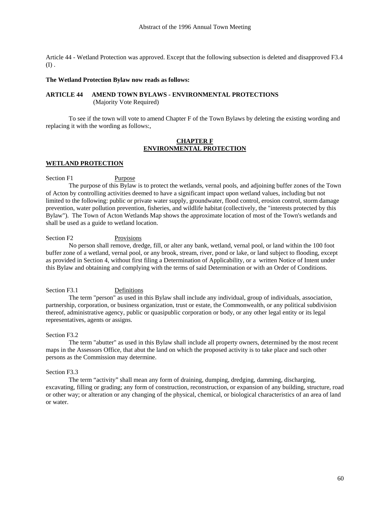Article 44 - Wetland Protection was approved. Except that the following subsection is deleted and disapproved F3.4 (I) .

#### **The Wetland Protection Bylaw now reads as follows:**

### **ARTICLE 44 AMEND TOWN BYLAWS - ENVIRONMENTAL PROTECTIONS**  (Majority Vote Required)

To see if the town will vote to amend Chapter F of the Town Bylaws by deleting the existing wording and replacing it with the wording as follows:,

#### **CHAPTER F ENVIRONMENTAL PROTECTION**

#### **WETLAND PROTECTION**

#### Section F1 Purpose

 The purpose of this Bylaw is to protect the wetlands, vernal pools, and adjoining buffer zones of the Town of Acton by controlling activities deemed to have a significant impact upon wetland values, including but not limited to the following: public or private water supply, groundwater, flood control, erosion control, storm damage prevention, water pollution prevention, fisheries, and wildlife habitat (collectively, the "interests protected by this Bylaw"). The Town of Acton Wetlands Map shows the approximate location of most of the Town's wetlands and shall be used as a guide to wetland location.

# Section F2 Provisions

 No person shall remove, dredge, fill, or alter any bank, wetland, vernal pool, or land within the 100 foot buffer zone of a wetland, vernal pool, or any brook, stream, river, pond or lake, or land subject to flooding, except as provided in Section 4, without first filing a Determination of Applicability, or a written Notice of Intent under this Bylaw and obtaining and complying with the terms of said Determination or with an Order of Conditions.

#### Section F3.1 Definitions

 The term "person" as used in this Bylaw shall include any individual, group of individuals, association, partnership, corporation, or business organization, trust or estate, the Commonwealth, or any political subdivision thereof, administrative agency, public or quasipublic corporation or body, or any other legal entity or its legal representatives, agents or assigns.

#### Section F3.2

 The term "abutter" as used in this Bylaw shall include all property owners, determined by the most recent maps in the Assessors Office, that abut the land on which the proposed activity is to take place and such other persons as the Commission may determine.

#### Section F3.3

 The term "activity" shall mean any form of draining, dumping, dredging, damming, discharging, excavating, filling or grading; any form of construction, reconstruction, or expansion of any building, structure, road or other way; or alteration or any changing of the physical, chemical, or biological characteristics of an area of land or water.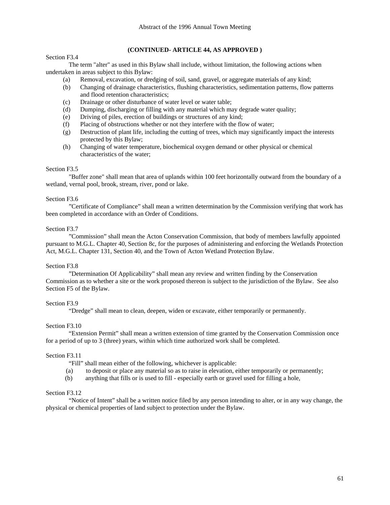#### Section F3.4

# **(CONTINUED- ARTICLE 44, AS APPROVED )**

 The term "alter" as used in this Bylaw shall include, without limitation, the following actions when undertaken in areas subject to this Bylaw:

- (a) Removal, excavation, or dredging of soil, sand, gravel, or aggregate materials of any kind;
- (b) Changing of drainage characteristics, flushing characteristics, sedimentation patterns, flow patterns and flood retention characteristics;
- (c) Drainage or other disturbance of water level or water table;
- (d) Dumping, discharging or filling with any material which may degrade water quality;
- (e) Driving of piles, erection of buildings or structures of any kind;
- (f) Placing of obstructions whether or not they interfere with the flow of water;
- (g) Destruction of plant life, including the cutting of trees, which may significantly impact the interests protected by this Bylaw;
- (h) Changing of water temperature, biochemical oxygen demand or other physical or chemical characteristics of the water;

#### Section F3.5

 "Buffer zone" shall mean that area of uplands within 100 feet horizontally outward from the boundary of a wetland, vernal pool, brook, stream, river, pond or lake.

#### Section F3.6

"Certificate of Compliance" shall mean a written determination by the Commission verifying that work has been completed in accordance with an Order of Conditions.

#### Section F3.7

 "Commission" shall mean the Acton Conservation Commission, that body of members lawfully appointed pursuant to M.G.L. Chapter 40, Section 8c, for the purposes of administering and enforcing the Wetlands Protection Act, M.G.L. Chapter 131, Section 40, and the Town of Acton Wetland Protection Bylaw.

#### Section F3.8

 "Determination Of Applicability" shall mean any review and written finding by the Conservation Commission as to whether a site or the work proposed thereon is subject to the jurisdiction of the Bylaw. See also Section F5 of the Bylaw.

#### Section F3.9

"Dredge" shall mean to clean, deepen, widen or excavate, either temporarily or permanently.

#### Section F3.10

 "Extension Permit" shall mean a written extension of time granted by the Conservation Commission once for a period of up to 3 (three) years, within which time authorized work shall be completed.

#### Section F3.11

"Fill" shall mean either of the following, whichever is applicable:

- (a) to deposit or place any material so as to raise in elevation, either temporarily or permanently;
- (b) anything that fills or is used to fill especially earth or gravel used for filling a hole,

#### Section F3.12

 "Notice of Intent" shall be a written notice filed by any person intending to alter, or in any way change, the physical or chemical properties of land subject to protection under the Bylaw.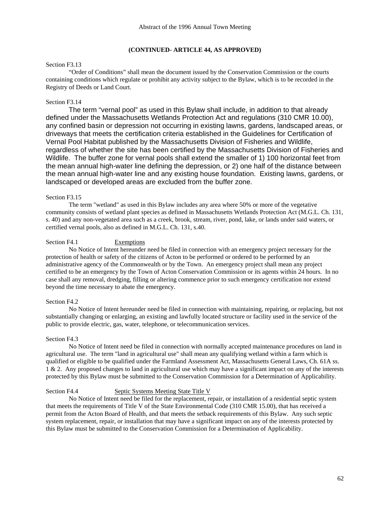#### Section F3.13

 "Order of Conditions" shall mean the document issued by the Conservation Commission or the courts containing conditions which regulate or prohibit any activity subject to the Bylaw, which is to be recorded in the Registry of Deeds or Land Court.

#### Section F3.14

 The term "vernal pool" as used in this Bylaw shall include, in addition to that already defined under the Massachusetts Wetlands Protection Act and regulations (310 CMR 10.00), any confined basin or depression not occurring in existing lawns, gardens, landscaped areas, or driveways that meets the certification criteria established in the Guidelines for Certification of Vernal Pool Habitat published by the Massachusetts Division of Fisheries and Wildlife, regardless of whether the site has been certified by the Massachusetts Division of Fisheries and Wildlife. The buffer zone for vernal pools shall extend the smaller of 1) 100 horizontal feet from the mean annual high-water line defining the depression, or 2) one half of the distance between the mean annual high-water line and any existing house foundation. Existing lawns, gardens, or landscaped or developed areas are excluded from the buffer zone.

#### Section F3.15

 The term "wetland" as used in this Bylaw includes any area where 50% or more of the vegetative community consists of wetland plant species as defined in Massachusetts Wetlands Protection Act (M.G.L. Ch. 131, s. 40) and any non-vegetated area such as a creek, brook, stream, river, pond, lake, or lands under said waters, or certified vernal pools, also as defined in M.G.L. Ch. 131, s.40.

#### Section F4.1 Exemptions

 No Notice of Intent hereunder need be filed in connection with an emergency project necessary for the protection of health or safety of the citizens of Acton to be performed or ordered to be performed by an administrative agency of the Commonwealth or by the Town. An emergency project shall mean any project certified to be an emergency by the Town of Acton Conservation Commission or its agents within 24 hours. In no case shall any removal, dredging, filling or altering commence prior to such emergency certification nor extend beyond the time necessary to abate the emergency.

#### Section F4.2

 No Notice of Intent hereunder need be filed in connection with maintaining, repairing, or replacing, but not substantially changing or enlarging, an existing and lawfully located structure or facility used in the service of the public to provide electric, gas, water, telephone, or telecommunication services.

# Section F4.3

 No Notice of Intent need be filed in connection with normally accepted maintenance procedures on land in agricultural use. The term "land in agricultural use" shall mean any qualifying wetland within a farm which is qualified or eligible to be qualified under the Farmland Assessment Act, Massachusetts General Laws, Ch. 61A ss. 1 & 2. Any proposed changes to land in agricultural use which may have a significant impact on any of the interests protected by this Bylaw must be submitted to the Conservation Commission for a Determination of Applicability.

# Section F4.4 Septic Systems Meeting State Title V

 No Notice of Intent need be filed for the replacement, repair, or installation of a residential septic system that meets the requirements of Title V of the State Environmental Code (310 CMR 15.00), that has received a permit from the Acton Board of Health, and that meets the setback requirements of this Bylaw. Any such septic system replacement, repair, or installation that may have a significant impact on any of the interests protected by this Bylaw must be submitted to the Conservation Commission for a Determination of Applicability.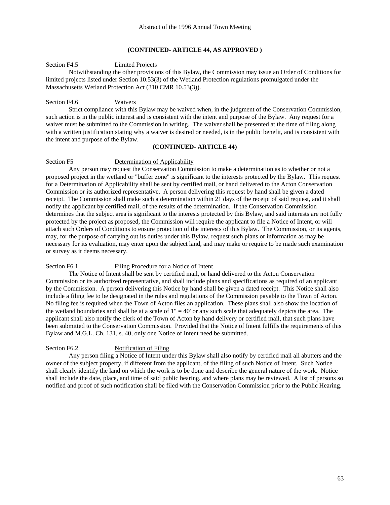Section F4.5 Limited Projects

 Notwithstanding the other provisions of this Bylaw, the Commission may issue an Order of Conditions for limited projects listed under Section 10.53(3) of the Wetland Protection regulations promulgated under the Massachusetts Wetland Protection Act (310 CMR 10.53(3)).

#### Section F4.6 Waivers

 Strict compliance with this Bylaw may be waived when, in the judgment of the Conservation Commission, such action is in the public interest and is consistent with the intent and purpose of the Bylaw. Any request for a waiver must be submitted to the Commission in writing. The waiver shall be presented at the time of filing along with a written justification stating why a waiver is desired or needed, is in the public benefit, and is consistent with the intent and purpose of the Bylaw.

# **(CONTINUED- ARTICLE 44)**

#### Section F5 Determination of Applicability

 Any person may request the Conservation Commission to make a determination as to whether or not a proposed project in the wetland or "buffer zone" is significant to the interests protected by the Bylaw. This request for a Determination of Applicability shall be sent by certified mail, or hand delivered to the Acton Conservation Commission or its authorized representative. A person delivering this request by hand shall be given a dated receipt. The Commission shall make such a determination within 21 days of the receipt of said request, and it shall notify the applicant by certified mail, of the results of the determination. If the Conservation Commission determines that the subject area is significant to the interests protected by this Bylaw, and said interests are not fully protected by the project as proposed, the Commission will require the applicant to file a Notice of Intent, or will attach such Orders of Conditions to ensure protection of the interests of this Bylaw. The Commission, or its agents, may, for the purpose of carrying out its duties under this Bylaw, request such plans or information as may be necessary for its evaluation, may enter upon the subject land, and may make or require to be made such examination or survey as it deems necessary.

#### Section F6.1 Filing Procedure for a Notice of Intent

 The Notice of Intent shall be sent by certified mail, or hand delivered to the Acton Conservation Commission or its authorized representative, and shall include plans and specifications as required of an applicant by the Commission. A person delivering this Notice by hand shall be given a dated receipt. This Notice shall also include a filing fee to be designated in the rules and regulations of the Commission payable to the Town of Acton. No filing fee is required when the Town of Acton files an application. These plans shall also show the location of the wetland boundaries and shall be at a scale of  $1'' = 40'$  or any such scale that adequately depicts the area. The applicant shall also notify the clerk of the Town of Acton by hand delivery or certified mail, that such plans have been submitted to the Conservation Commission. Provided that the Notice of Intent fulfills the requirements of this Bylaw and M.G.L. Ch. 131, s. 40, only one Notice of Intent need be submitted.

#### Section F6.2 Notification of Filing

 Any person filing a Notice of Intent under this Bylaw shall also notify by certified mail all abutters and the owner of the subject property, if different from the applicant, of the filing of such Notice of Intent. Such Notice shall clearly identify the land on which the work is to be done and describe the general nature of the work. Notice shall include the date, place, and time of said public hearing, and where plans may be reviewed. A list of persons so notified and proof of such notification shall be filed with the Conservation Commission prior to the Public Hearing.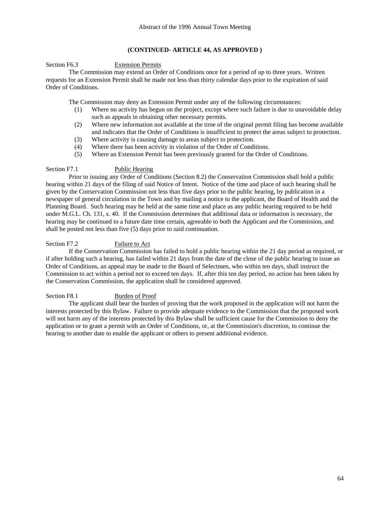#### Section F6.3 Extension Permits

 The Commission may extend an Order of Conditions once for a period of up to three years. Written requests for an Extension Permit shall be made not less than thirty calendar days prior to the expiration of said Order of Conditions.

The Commission may deny an Extension Permit under any of the following circumstances:

- (1) Where no activity has begun on the project, except where such failure is due to unavoidable delay such as appeals in obtaining other necessary permits.
- (2) Where new information not available at the time of the original permit filing has become available and indicates that the Order of Conditions is insufficient to protect the areas subject to protection.
- (3) Where activity is causing damage to areas subject to protection.
- (4) Where there has been activity in violation of the Order of Conditions.
- (5) Where an Extension Permit has been previously granted for the Order of Conditions.

#### Section F7.1 Public Hearing

 Prior to issuing any Order of Conditions (Section 8.2) the Conservation Commission shall hold a public hearing within 21 days of the filing of said Notice of Intent. Notice of the time and place of such hearing shall be given by the Conservation Commission not less than five days prior to the public hearing, by publication in a newspaper of general circulation in the Town and by mailing a notice to the applicant, the Board of Health and the Planning Board. Such hearing may be held at the same time and place as any public hearing required to be held under M.G.L. Ch. 131, s. 40. If the Commission determines that additional data or information is necessary, the hearing may be continued to a future date time certain, agreeable to both the Applicant and the Commission, and shall be posted not less than five (5) days prior to said continuation.

#### Section F7.2 Failure to Act

 If the Conservation Commission has failed to hold a public hearing within the 21 day period as required, or if after holding such a hearing, has failed within 21 days from the date of the close of the public hearing to issue an Order of Conditions, an appeal may be made to the Board of Selectmen, who within ten days, shall instruct the Commission to act within a period not to exceed ten days. If, after this ten day period, no action has been taken by the Conservation Commission, the application shall be considered approved.

#### Section F8.1 Burden of Proof

 The applicant shall bear the burden of proving that the work proposed in the application will not harm the interests protected by this Bylaw. Failure to provide adequate evidence to the Commission that the proposed work will not harm any of the interests protected by this Bylaw shall be sufficient cause for the Commission to deny the application or to grant a permit with an Order of Conditions, or, at the Commission's discretion, to continue the hearing to another date to enable the applicant or others to present additional evidence.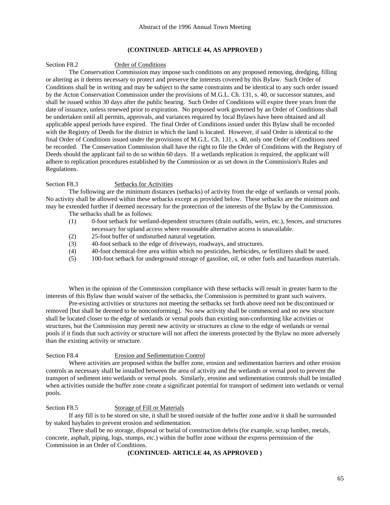#### Section F8.2 Order of Conditions

 The Conservation Commission may impose such conditions on any proposed removing, dredging, filling or altering as it deems necessary to protect and preserve the interests covered by this Bylaw. Such Order of Conditions shall be in writing and may be subject to the same constraints and be identical to any such order issued by the Acton Conservation Commission under the provisions of M.G.L. Ch. 131, s. 40, or successor statutes, and shall be issued within 30 days after the public hearing. Such Order of Conditions will expire three years from the date of issuance, unless renewed prior to expiration. No proposed work governed by an Order of Conditions shall be undertaken until all permits, approvals, and variances required by local Bylaws have been obtained and all applicable appeal periods have expired. The final Order of Conditions issued under this Bylaw shall be recorded with the Registry of Deeds for the district in which the land is located. However, if said Order is identical to the final Order of Conditions issued under the provisions of M.G.L. Ch. 131, s. 40, only one Order of Conditions need be recorded. The Conservation Commission shall have the right to file the Order of Conditions with the Registry of Deeds should the applicant fail to do so within 60 days. If a wetlands replication is required, the applicant will adhere to replication procedures established by the Commission or as set down in the Commission's Rules and Regulations.

#### Section F8.3 Setbacks for Activities

 The following are the minimum distances (setbacks) of activity from the edge of wetlands or vernal pools. No activity shall be allowed within these setbacks except as provided below. These setbacks are the minimum and may be extended further if deemed necessary for the protection of the interests of the Bylaw by the Commission.

The setbacks shall be as follows:

- (1) 0-foot setback for wetland-dependent structures (drain outfalls, weirs, etc.), fences, and structures necessary for upland access where reasonable alternative access is unavailable.
- (2) 25-foot buffer of undisturbed natural vegetation.
- (3) 40-foot setback to the edge of driveways, roadways, and structures.
- (4) 40-foot chemical-free area within which no pesticides, herbicides, or fertilizers shall be used.
- (5) 100-foot setback for underground storage of gasoline, oil, or other fuels and hazardous materials.

 When in the opinion of the Commission compliance with these setbacks will result in greater harm to the interests of this Bylaw than would waiver of the setbacks, the Commission is permitted to grant such waivers.

 Pre-existing activities or structures not meeting the setbacks set forth above need not be discontinued or removed [but shall be deemed to be nonconforming]. No new activity shall be commenced and no new structure shall be located closer to the edge of wetlands or vernal pools than existing non-conforming like activities or structures, but the Commission may permit new activity or structures as close to the edge of wetlands or vernal pools if it finds that such activity or structure will not affect the interests protected by the Bylaw no more adversely than the existing activity or structure.

#### Section F8.4 Erosion and Sedimentation Control

 Where activities are proposed within the buffer zone, erosion and sedimentation barriers and other erosion controls as necessary shall be installed between the area of activity and the wetlands or vernal pool to prevent the transport of sediment into wetlands or vernal pools. Similarly, erosion and sedimentation controls shall be installed when activities outside the buffer zone create a significant potential for transport of sediment into wetlands or vernal pools.

#### Section F8.5 Storage of Fill or Materials

 If any fill is to be stored on site, it shall be stored outside of the buffer zone and/or it shall be surrounded by staked haybales to prevent erosion and sedimentation.

 There shall be no storage, disposal or burial of construction debris (for example, scrap lumber, metals, concrete, asphalt, piping, logs, stumps, etc.) within the buffer zone without the express permission of the Commission in an Order of Conditions.

## **(CONTINUED- ARTICLE 44, AS APPROVED )**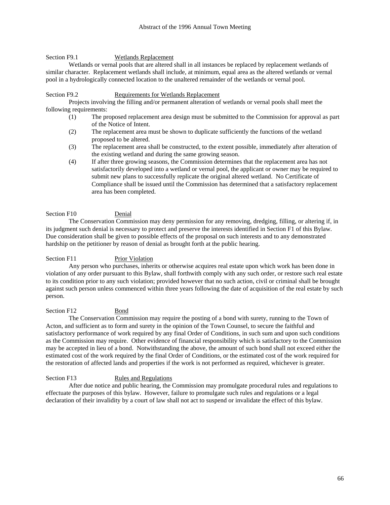# Section F9.1 Wetlands Replacement

 Wetlands or vernal pools that are altered shall in all instances be replaced by replacement wetlands of similar character. Replacement wetlands shall include, at minimum, equal area as the altered wetlands or vernal pool in a hydrologically connected location to the unaltered remainder of the wetlands or vernal pool.

# Section F9.2 Requirements for Wetlands Replacement

 Projects involving the filling and/or permanent alteration of wetlands or vernal pools shall meet the following requirements:

- (1) The proposed replacement area design must be submitted to the Commission for approval as part of the Notice of Intent.
- (2) The replacement area must be shown to duplicate sufficiently the functions of the wetland proposed to be altered.
- (3) The replacement area shall be constructed, to the extent possible, immediately after alteration of the existing wetland and during the same growing season.
- (4) If after three growing seasons, the Commission determines that the replacement area has not satisfactorily developed into a wetland or vernal pool, the applicant or owner may be required to submit new plans to successfully replicate the original altered wetland. No Certificate of Compliance shall be issued until the Commission has determined that a satisfactory replacement area has been completed.

# Section F10 Denial

 The Conservation Commission may deny permission for any removing, dredging, filling, or altering if, in its judgment such denial is necessary to protect and preserve the interests identified in Section F1 of this Bylaw. Due consideration shall be given to possible effects of the proposal on such interests and to any demonstrated hardship on the petitioner by reason of denial as brought forth at the public hearing.

# Section F11 Prior Violation

 Any person who purchases, inherits or otherwise acquires real estate upon which work has been done in violation of any order pursuant to this Bylaw, shall forthwith comply with any such order, or restore such real estate to its condition prior to any such violation; provided however that no such action, civil or criminal shall be brought against such person unless commenced within three years following the date of acquisition of the real estate by such person.

#### Section F12 Bond

 The Conservation Commission may require the posting of a bond with surety, running to the Town of Acton, and sufficient as to form and surety in the opinion of the Town Counsel, to secure the faithful and satisfactory performance of work required by any final Order of Conditions, in such sum and upon such conditions as the Commission may require. Other evidence of financial responsibility which is satisfactory to the Commission may be accepted in lieu of a bond. Notwithstanding the above, the amount of such bond shall not exceed either the estimated cost of the work required by the final Order of Conditions, or the estimated cost of the work required for the restoration of affected lands and properties if the work is not performed as required, whichever is greater.

#### Section F13 Rules and Regulations

 After due notice and public hearing, the Commission may promulgate procedural rules and regulations to effectuate the purposes of this bylaw. However, failure to promulgate such rules and regulations or a legal declaration of their invalidity by a court of law shall not act to suspend or invalidate the effect of this bylaw.